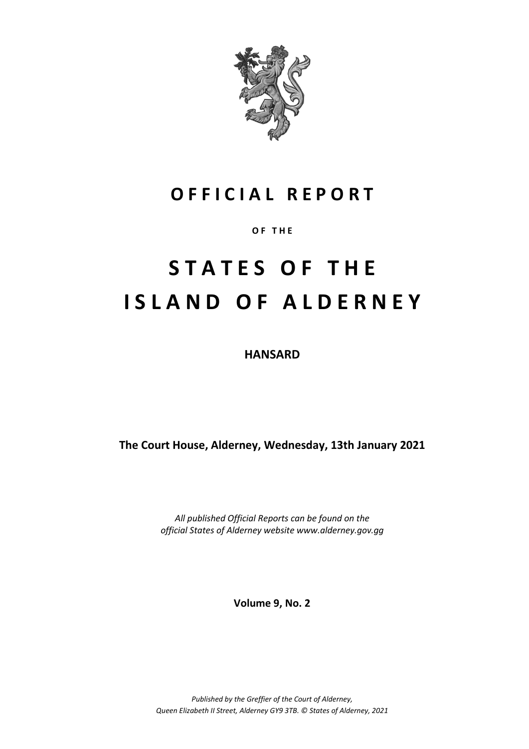

## **O F F I C I A L R E P O R T**

**O F T H E**

# **S T A T E S O F T H E I S L A N D O F A L D E R N E Y**

**HANSARD**

**The Court House, Alderney, Wednesday, 13th January 2021**

*All published Official Reports can be found on the official States of Alderney website www.alderney.gov.gg*

**Volume 9, No. 2**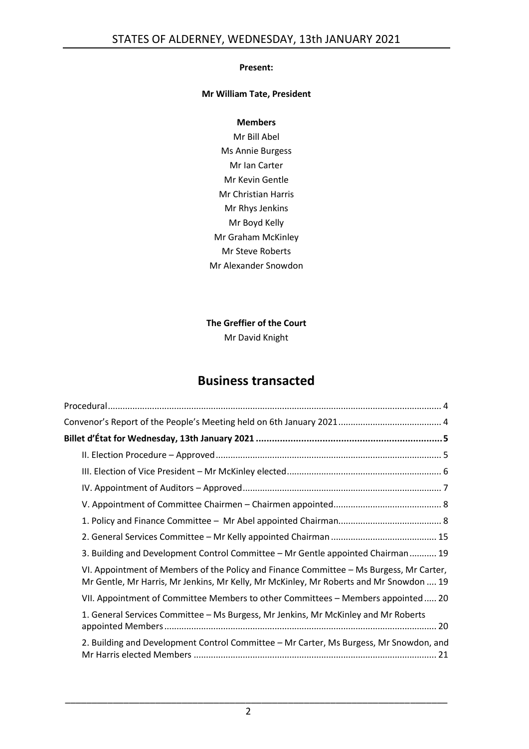## **Present:**

## **Mr William Tate, President**

### **Members**

Mr Bill Abel Ms Annie Burgess Mr Ian Carter Mr Kevin Gentle Mr Christian Harris Mr Rhys Jenkins Mr Boyd Kelly Mr Graham McKinley Mr Steve Roberts Mr Alexander Snowdon

## **The Greffier of the Court**

Mr David Knight

## **Business transacted**

| 3. Building and Development Control Committee - Mr Gentle appointed Chairman 19                                                                                                   |
|-----------------------------------------------------------------------------------------------------------------------------------------------------------------------------------|
| VI. Appointment of Members of the Policy and Finance Committee - Ms Burgess, Mr Carter,<br>Mr Gentle, Mr Harris, Mr Jenkins, Mr Kelly, Mr McKinley, Mr Roberts and Mr Snowdon  19 |
| VII. Appointment of Committee Members to other Committees - Members appointed  20                                                                                                 |
| 1. General Services Committee – Ms Burgess, Mr Jenkins, Mr McKinley and Mr Roberts                                                                                                |
| 2. Building and Development Control Committee - Mr Carter, Ms Burgess, Mr Snowdon, and                                                                                            |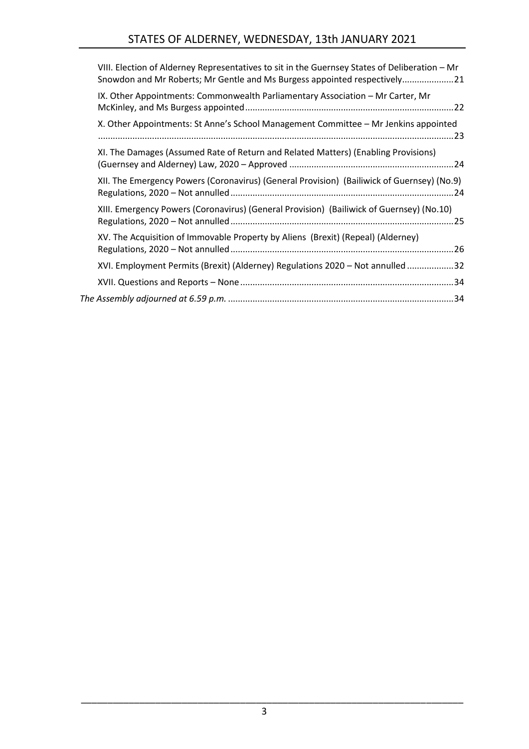| VIII. Election of Alderney Representatives to sit in the Guernsey States of Deliberation - Mr<br>Snowdon and Mr Roberts; Mr Gentle and Ms Burgess appointed respectively21 |
|----------------------------------------------------------------------------------------------------------------------------------------------------------------------------|
| IX. Other Appointments: Commonwealth Parliamentary Association - Mr Carter, Mr                                                                                             |
| X. Other Appointments: St Anne's School Management Committee - Mr Jenkins appointed                                                                                        |
| XI. The Damages (Assumed Rate of Return and Related Matters) (Enabling Provisions)                                                                                         |
| XII. The Emergency Powers (Coronavirus) (General Provision) (Bailiwick of Guernsey) (No.9)                                                                                 |
| XIII. Emergency Powers (Coronavirus) (General Provision) (Bailiwick of Guernsey) (No.10)                                                                                   |
| XV. The Acquisition of Immovable Property by Aliens (Brexit) (Repeal) (Alderney)                                                                                           |
| XVI. Employment Permits (Brexit) (Alderney) Regulations 2020 - Not annulled 32                                                                                             |
|                                                                                                                                                                            |
|                                                                                                                                                                            |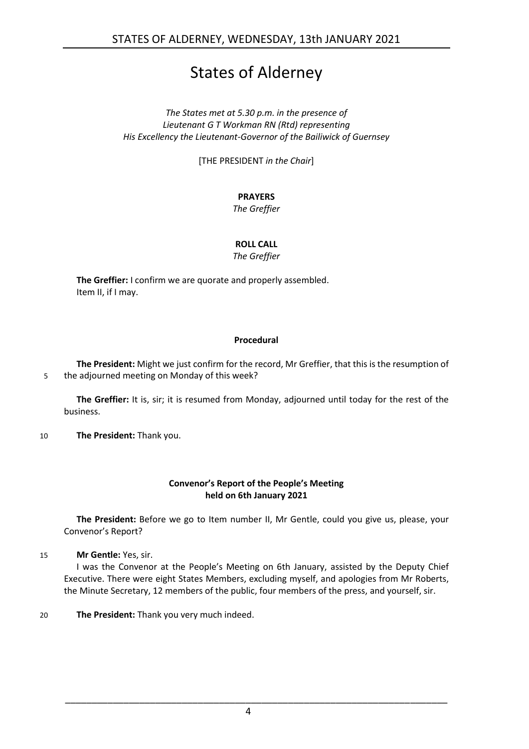## States of Alderney

*The States met at 5.30 p.m. in the presence of Lieutenant G T Workman RN (Rtd) representing His Excellency the Lieutenant-Governor of the Bailiwick of Guernsey*

[THE PRESIDENT *in the Chair*]

## **PRAYERS**

*The Greffier*

## **ROLL CALL**

## *The Greffier*

**The Greffier:** I confirm we are quorate and properly assembled. Item II, if I may.

## **Procedural**

<span id="page-3-0"></span>**The President:** Might we just confirm for the record, Mr Greffier, that this is the resumption of 5 the adjourned meeting on Monday of this week?

**The Greffier:** It is, sir; it is resumed from Monday, adjourned until today for the rest of the business.

10 **The President:** Thank you.

## **Convenor's Report of the People's Meeting held on 6th January 2021**

<span id="page-3-1"></span>**The President:** Before we go to Item number II, Mr Gentle, could you give us, please, your Convenor's Report?

15 **Mr Gentle:** Yes, sir.

I was the Convenor at the People's Meeting on 6th January, assisted by the Deputy Chief Executive. There were eight States Members, excluding myself, and apologies from Mr Roberts, the Minute Secretary, 12 members of the public, four members of the press, and yourself, sir.

20 **The President:** Thank you very much indeed.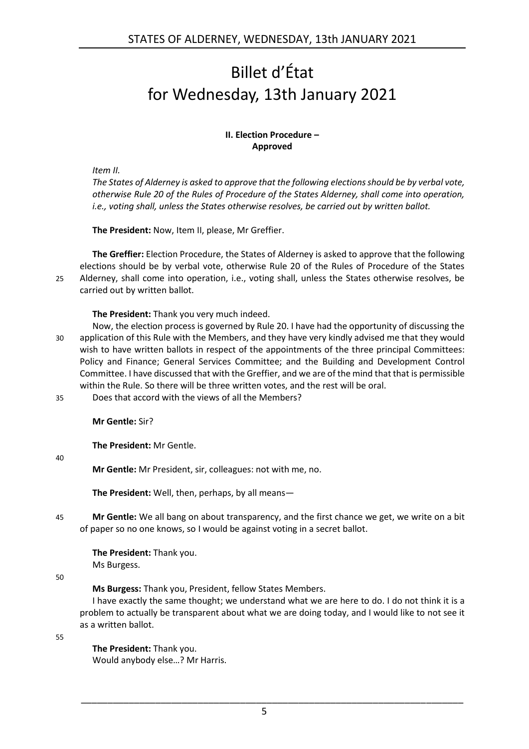## <span id="page-4-0"></span>Billet d'État for Wednesday, 13th January 2021

## **II. Election Procedure – Approved**

<span id="page-4-1"></span>*Item II.*

*The States of Alderney is asked to approve that the following elections should be by verbal vote, otherwise Rule 20 of the Rules of Procedure of the States Alderney, shall come into operation, i.e., voting shall, unless the States otherwise resolves, be carried out by written ballot.*

**The President:** Now, Item II, please, Mr Greffier.

**The Greffier:** Election Procedure, the States of Alderney is asked to approve that the following elections should be by verbal vote, otherwise Rule 20 of the Rules of Procedure of the States 25 Alderney, shall come into operation, i.e., voting shall, unless the States otherwise resolves, be carried out by written ballot.

**The President:** Thank you very much indeed.

- Now, the election process is governed by Rule 20. I have had the opportunity of discussing the 30 application of this Rule with the Members, and they have very kindly advised me that they would wish to have written ballots in respect of the appointments of the three principal Committees: Policy and Finance; General Services Committee; and the Building and Development Control Committee. I have discussed that with the Greffier, and we are of the mind that that is permissible within the Rule. So there will be three written votes, and the rest will be oral.
- 35 Does that accord with the views of all the Members?

**Mr Gentle:** Sir?

**The President:** Mr Gentle.

40

**Mr Gentle:** Mr President, sir, colleagues: not with me, no.

**The President:** Well, then, perhaps, by all means—

45 **Mr Gentle:** We all bang on about transparency, and the first chance we get, we write on a bit of paper so no one knows, so I would be against voting in a secret ballot.

**The President:** Thank you. Ms Burgess.

50

**Ms Burgess:** Thank you, President, fellow States Members.

I have exactly the same thought; we understand what we are here to do. I do not think it is a problem to actually be transparent about what we are doing today, and I would like to not see it as a written ballot.

55

**The President:** Thank you.

Would anybody else…? Mr Harris.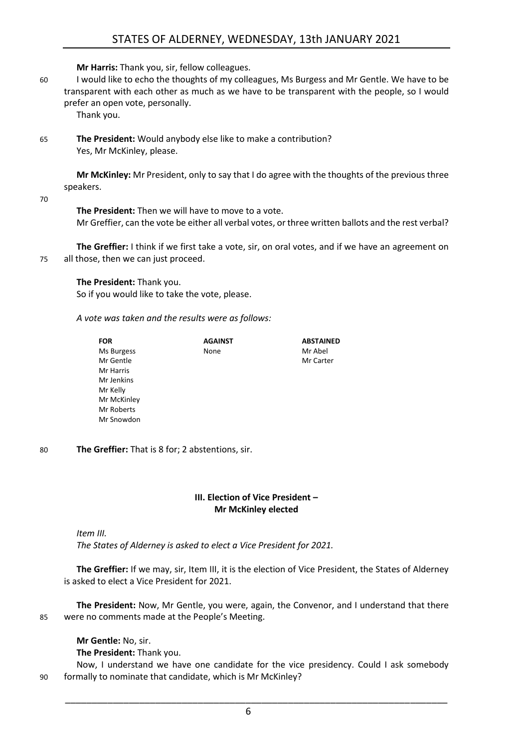**Mr Harris:** Thank you, sir, fellow colleagues.

60 I would like to echo the thoughts of my colleagues, Ms Burgess and Mr Gentle. We have to be transparent with each other as much as we have to be transparent with the people, so I would prefer an open vote, personally.

Thank you.

65 **The President:** Would anybody else like to make a contribution? Yes, Mr McKinley, please.

**Mr McKinley:** Mr President, only to say that I do agree with the thoughts of the previous three speakers.

70

**The President:** Then we will have to move to a vote. Mr Greffier, can the vote be either all verbal votes, or three written ballots and the rest verbal?

**The Greffier:** I think if we first take a vote, sir, on oral votes, and if we have an agreement on 75 all those, then we can just proceed.

**The President:** Thank you.

So if you would like to take the vote, please.

*A vote was taken and the results were as follows:*

| <b>FOR</b>  | <b>AGAINST</b> | <b>ABSTAINED</b> |
|-------------|----------------|------------------|
| Ms Burgess  | None           | Mr Abel          |
| Mr Gentle   |                | Mr Carter        |
| Mr Harris   |                |                  |
| Mr Jenkins  |                |                  |
| Mr Kelly    |                |                  |
| Mr McKinley |                |                  |
| Mr Roberts  |                |                  |
| Mr Snowdon  |                |                  |

80 **The Greffier:** That is 8 for; 2 abstentions, sir.

## **III. Election of Vice President – Mr McKinley elected**

<span id="page-5-0"></span>*Item III.*

*The States of Alderney is asked to elect a Vice President for 2021.*

**The Greffier:** If we may, sir, Item III, it is the election of Vice President, the States of Alderney is asked to elect a Vice President for 2021.

**The President:** Now, Mr Gentle, you were, again, the Convenor, and I understand that there 85 were no comments made at the People's Meeting.

**Mr Gentle:** No, sir. **The President:** Thank you.

Now, I understand we have one candidate for the vice presidency. Could I ask somebody 90 formally to nominate that candidate, which is Mr McKinley?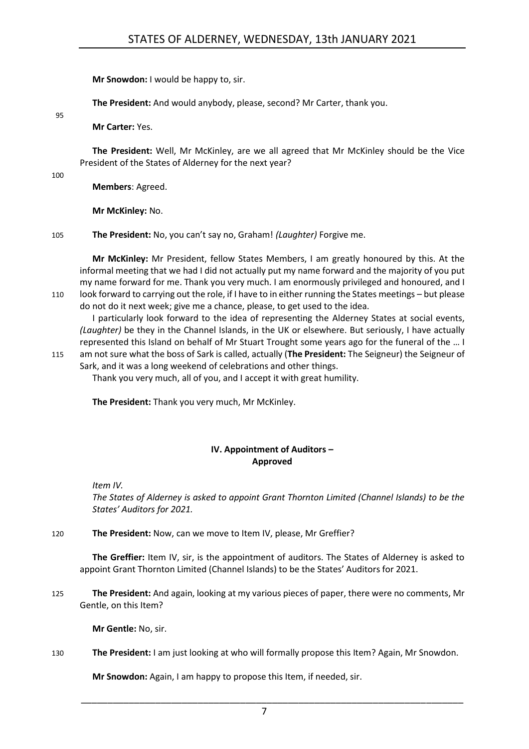**Mr Snowdon:** I would be happy to, sir.

**The President:** And would anybody, please, second? Mr Carter, thank you.

**Mr Carter:** Yes.

**The President:** Well, Mr McKinley, are we all agreed that Mr McKinley should be the Vice President of the States of Alderney for the next year?

100

95

**Members**: Agreed.

**Mr McKinley:** No.

105 **The President:** No, you can't say no, Graham! *(Laughter)* Forgive me.

**Mr McKinley:** Mr President, fellow States Members, I am greatly honoured by this. At the informal meeting that we had I did not actually put my name forward and the majority of you put my name forward for me. Thank you very much. I am enormously privileged and honoured, and I 110 look forward to carrying out the role, if I have to in either running the States meetings – but please do not do it next week; give me a chance, please, to get used to the idea.

I particularly look forward to the idea of representing the Alderney States at social events, *(Laughter)* be they in the Channel Islands, in the UK or elsewhere. But seriously, I have actually represented this Island on behalf of Mr Stuart Trought some years ago for the funeral of the … I

115 am not sure what the boss of Sark is called, actually (**The President:** The Seigneur) the Seigneur of Sark, and it was a long weekend of celebrations and other things.

Thank you very much, all of you, and I accept it with great humility.

**The President:** Thank you very much, Mr McKinley.

## **IV. Appointment of Auditors – Approved**

<span id="page-6-0"></span>*Item IV.*

*The States of Alderney is asked to appoint Grant Thornton Limited (Channel Islands) to be the States' Auditors for 2021.*

120 **The President:** Now, can we move to Item IV, please, Mr Greffier?

**The Greffier:** Item IV, sir, is the appointment of auditors. The States of Alderney is asked to appoint Grant Thornton Limited (Channel Islands) to be the States' Auditors for 2021.

125 **The President:** And again, looking at my various pieces of paper, there were no comments, Mr Gentle, on this Item?

**Mr Gentle:** No, sir.

130 **The President:** I am just looking at who will formally propose this Item? Again, Mr Snowdon.

**Mr Snowdon:** Again, I am happy to propose this Item, if needed, sir.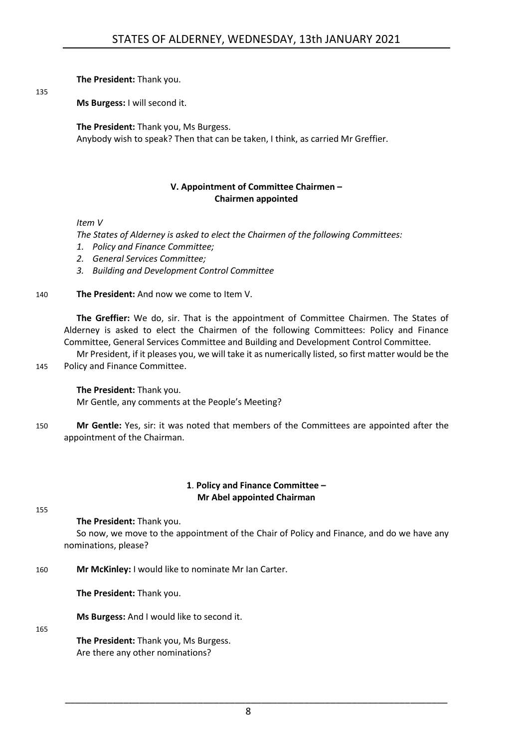**The President:** Thank you.

135

**Ms Burgess:** I will second it.

**The President:** Thank you, Ms Burgess.

Anybody wish to speak? Then that can be taken, I think, as carried Mr Greffier.

## **V. Appointment of Committee Chairmen – Chairmen appointed**

<span id="page-7-0"></span>*Item V*

*The States of Alderney is asked to elect the Chairmen of the following Committees:*

- *1. Policy and Finance Committee;*
- *2. General Services Committee;*
- *3. Building and Development Control Committee*

## 140 **The President:** And now we come to Item V.

**The Greffier:** We do, sir. That is the appointment of Committee Chairmen. The States of Alderney is asked to elect the Chairmen of the following Committees: Policy and Finance Committee, General Services Committee and Building and Development Control Committee.

Mr President, if it pleases you, we will take it as numerically listed, so first matter would be the 145 Policy and Finance Committee.

**The President:** Thank you. Mr Gentle, any comments at the People's Meeting?

150 **Mr Gentle:** Yes, sir: it was noted that members of the Committees are appointed after the appointment of the Chairman.

## **1**. **Policy and Finance Committee – Mr Abel appointed Chairman**

<span id="page-7-1"></span>155

**The President:** Thank you.

So now, we move to the appointment of the Chair of Policy and Finance, and do we have any nominations, please?

160 **Mr McKinley:** I would like to nominate Mr Ian Carter.

**The President:** Thank you.

**Ms Burgess:** And I would like to second it.

165

**The President:** Thank you, Ms Burgess. Are there any other nominations?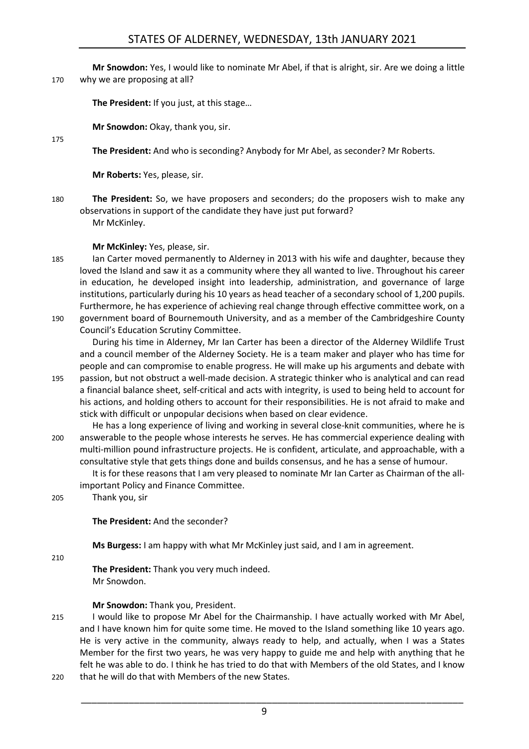**Mr Snowdon:** Yes, I would like to nominate Mr Abel, if that is alright, sir. Are we doing a little 170 why we are proposing at all?

**The President:** If you just, at this stage…

**Mr Snowdon:** Okay, thank you, sir.

**The President:** And who is seconding? Anybody for Mr Abel, as seconder? Mr Roberts.

**Mr Roberts:** Yes, please, sir.

180 **The President:** So, we have proposers and seconders; do the proposers wish to make any observations in support of the candidate they have just put forward? Mr McKinley.

**Mr McKinley:** Yes, please, sir.

- 185 Ian Carter moved permanently to Alderney in 2013 with his wife and daughter, because they loved the Island and saw it as a community where they all wanted to live. Throughout his career in education, he developed insight into leadership, administration, and governance of large institutions, particularly during his 10 years as head teacher of a secondary school of 1,200 pupils. Furthermore, he has experience of achieving real change through effective committee work, on a 190 government board of Bournemouth University, and as a member of the Cambridgeshire County
	- Council's Education Scrutiny Committee.

During his time in Alderney, Mr Ian Carter has been a director of the Alderney Wildlife Trust and a council member of the Alderney Society. He is a team maker and player who has time for people and can compromise to enable progress. He will make up his arguments and debate with

- 195 passion, but not obstruct a well-made decision. A strategic thinker who is analytical and can read a financial balance sheet, self-critical and acts with integrity, is used to being held to account for his actions, and holding others to account for their responsibilities. He is not afraid to make and stick with difficult or unpopular decisions when based on clear evidence.
- He has a long experience of living and working in several close-knit communities, where he is 200 answerable to the people whose interests he serves. He has commercial experience dealing with multi-million pound infrastructure projects. He is confident, articulate, and approachable, with a consultative style that gets things done and builds consensus, and he has a sense of humour.

It is for these reasons that I am very pleased to nominate Mr Ian Carter as Chairman of the allimportant Policy and Finance Committee.

205 Thank you, sir

**The President:** And the seconder?

**Ms Burgess:** I am happy with what Mr McKinley just said, and I am in agreement.

210

175

**The President:** Thank you very much indeed. Mr Snowdon.

## **Mr Snowdon:** Thank you, President.

- 215 I would like to propose Mr Abel for the Chairmanship. I have actually worked with Mr Abel, and I have known him for quite some time. He moved to the Island something like 10 years ago. He is very active in the community, always ready to help, and actually, when I was a States Member for the first two years, he was very happy to guide me and help with anything that he felt he was able to do. I think he has tried to do that with Members of the old States, and I know 220 that he will do that with Members of the new States.
	- 9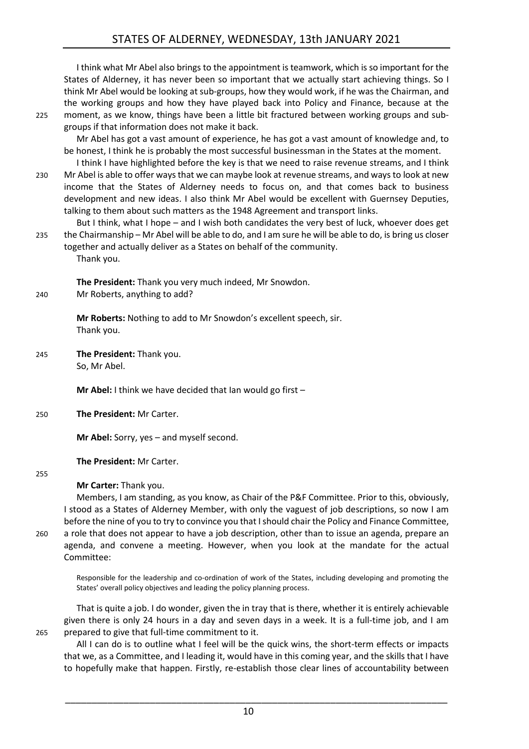I think what Mr Abel also brings to the appointment is teamwork, which is so important for the States of Alderney, it has never been so important that we actually start achieving things. So I think Mr Abel would be looking at sub-groups, how they would work, if he was the Chairman, and the working groups and how they have played back into Policy and Finance, because at the 225 moment, as we know, things have been a little bit fractured between working groups and subgroups if that information does not make it back.

Mr Abel has got a vast amount of experience, he has got a vast amount of knowledge and, to be honest, I think he is probably the most successful businessman in the States at the moment.

I think I have highlighted before the key is that we need to raise revenue streams, and I think 230 Mr Abel is able to offer ways that we can maybe look at revenue streams, and ways to look at new income that the States of Alderney needs to focus on, and that comes back to business development and new ideas. I also think Mr Abel would be excellent with Guernsey Deputies, talking to them about such matters as the 1948 Agreement and transport links.

But I think, what I hope – and I wish both candidates the very best of luck, whoever does get 235 the Chairmanship – Mr Abel will be able to do, and I am sure he will be able to do, is bring us closer together and actually deliver as a States on behalf of the community. Thank you.

**The President:** Thank you very much indeed, Mr Snowdon. 240 Mr Roberts, anything to add?

> **Mr Roberts:** Nothing to add to Mr Snowdon's excellent speech, sir. Thank you.

245 **The President:** Thank you. So, Mr Abel.

**Mr Abel:** I think we have decided that Ian would go first –

250 **The President:** Mr Carter.

**Mr Abel:** Sorry, yes – and myself second.

**The President:** Mr Carter.

255

**Mr Carter:** Thank you.

Members, I am standing, as you know, as Chair of the P&F Committee. Prior to this, obviously, I stood as a States of Alderney Member, with only the vaguest of job descriptions, so now I am before the nine of you to try to convince you that I should chair the Policy and Finance Committee, 260 a role that does not appear to have a job description, other than to issue an agenda, prepare an agenda, and convene a meeting. However, when you look at the mandate for the actual Committee:

Responsible for the leadership and co-ordination of work of the States, including developing and promoting the States' overall policy objectives and leading the policy planning process.

That is quite a job. I do wonder, given the in tray that is there, whether it is entirely achievable given there is only 24 hours in a day and seven days in a week. It is a full-time job, and I am 265 prepared to give that full-time commitment to it.

All I can do is to outline what I feel will be the quick wins, the short-term effects or impacts that we, as a Committee, and I leading it, would have in this coming year, and the skills that I have to hopefully make that happen. Firstly, re-establish those clear lines of accountability between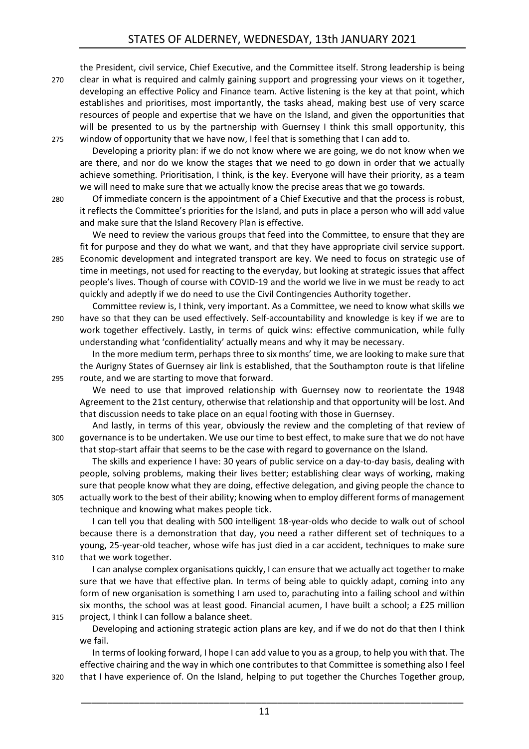the President, civil service, Chief Executive, and the Committee itself. Strong leadership is being

- 270 clear in what is required and calmly gaining support and progressing your views on it together, developing an effective Policy and Finance team. Active listening is the key at that point, which establishes and prioritises, most importantly, the tasks ahead, making best use of very scarce resources of people and expertise that we have on the Island, and given the opportunities that will be presented to us by the partnership with Guernsey I think this small opportunity, this 275 window of opportunity that we have now, I feel that is something that I can add to.
	- Developing a priority plan: if we do not know where we are going, we do not know when we are there, and nor do we know the stages that we need to go down in order that we actually achieve something. Prioritisation, I think, is the key. Everyone will have their priority, as a team we will need to make sure that we actually know the precise areas that we go towards.
- 280 Of immediate concern is the appointment of a Chief Executive and that the process is robust, it reflects the Committee's priorities for the Island, and puts in place a person who will add value and make sure that the Island Recovery Plan is effective.

We need to review the various groups that feed into the Committee, to ensure that they are fit for purpose and they do what we want, and that they have appropriate civil service support. 285 Economic development and integrated transport are key. We need to focus on strategic use of time in meetings, not used for reacting to the everyday, but looking at strategic issues that affect

people's lives. Though of course with COVID-19 and the world we live in we must be ready to act quickly and adeptly if we do need to use the Civil Contingencies Authority together.

Committee review is, I think, very important. As a Committee, we need to know what skills we 290 have so that they can be used effectively. Self-accountability and knowledge is key if we are to work together effectively. Lastly, in terms of quick wins: effective communication, while fully understanding what 'confidentiality' actually means and why it may be necessary.

In the more medium term, perhaps three to six months' time, we are looking to make sure that the Aurigny States of Guernsey air link is established, that the Southampton route is that lifeline 295 route, and we are starting to move that forward.

We need to use that improved relationship with Guernsey now to reorientate the 1948 Agreement to the 21st century, otherwise that relationship and that opportunity will be lost. And that discussion needs to take place on an equal footing with those in Guernsey.

And lastly, in terms of this year, obviously the review and the completing of that review of 300 governance is to be undertaken. We use our time to best effect, to make sure that we do not have that stop-start affair that seems to be the case with regard to governance on the Island.

The skills and experience I have: 30 years of public service on a day-to-day basis, dealing with people, solving problems, making their lives better; establishing clear ways of working, making sure that people know what they are doing, effective delegation, and giving people the chance to 305 actually work to the best of their ability; knowing when to employ different forms of management technique and knowing what makes people tick.

I can tell you that dealing with 500 intelligent 18-year-olds who decide to walk out of school because there is a demonstration that day, you need a rather different set of techniques to a young, 25-year-old teacher, whose wife has just died in a car accident, techniques to make sure 310 that we work together.

I can analyse complex organisations quickly, I can ensure that we actually act together to make sure that we have that effective plan. In terms of being able to quickly adapt, coming into any form of new organisation is something I am used to, parachuting into a failing school and within six months, the school was at least good. Financial acumen, I have built a school; a £25 million 315 project, I think I can follow a balance sheet.

Developing and actioning strategic action plans are key, and if we do not do that then I think we fail.

In terms of looking forward, I hope I can add value to you as a group, to help you with that. The effective chairing and the way in which one contributes to that Committee is something also I feel 320 that I have experience of. On the Island, helping to put together the Churches Together group,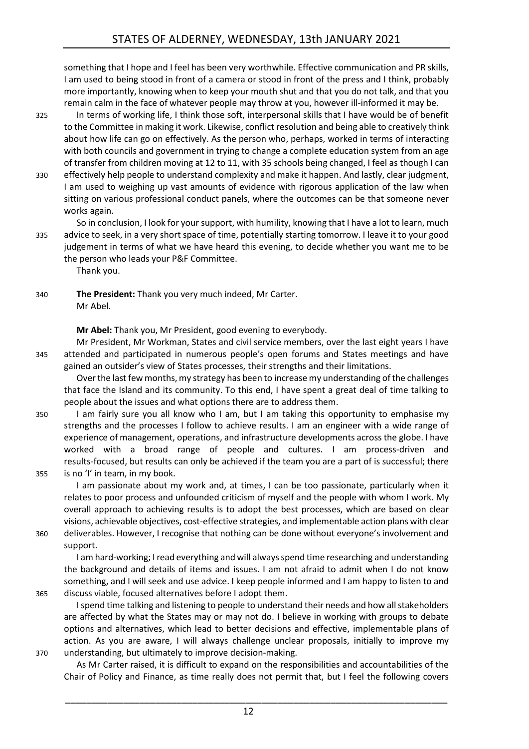something that I hope and I feel has been very worthwhile. Effective communication and PR skills, I am used to being stood in front of a camera or stood in front of the press and I think, probably more importantly, knowing when to keep your mouth shut and that you do not talk, and that you remain calm in the face of whatever people may throw at you, however ill-informed it may be.

325 In terms of working life, I think those soft, interpersonal skills that I have would be of benefit to the Committee in making it work. Likewise, conflict resolution and being able to creatively think about how life can go on effectively. As the person who, perhaps, worked in terms of interacting with both councils and government in trying to change a complete education system from an age of transfer from children moving at 12 to 11, with 35 schools being changed, I feel as though I can

330 effectively help people to understand complexity and make it happen. And lastly, clear judgment, I am used to weighing up vast amounts of evidence with rigorous application of the law when sitting on various professional conduct panels, where the outcomes can be that someone never works again.

So in conclusion, I look for your support, with humility, knowing that I have a lot to learn, much 335 advice to seek, in a very short space of time, potentially starting tomorrow. I leave it to your good judgement in terms of what we have heard this evening, to decide whether you want me to be the person who leads your P&F Committee.

Thank you.

340 **The President:** Thank you very much indeed, Mr Carter. Mr Abel.

**Mr Abel:** Thank you, Mr President, good evening to everybody.

Mr President, Mr Workman, States and civil service members, over the last eight years I have 345 attended and participated in numerous people's open forums and States meetings and have gained an outsider's view of States processes, their strengths and their limitations.

Over the last few months, my strategy has been to increase my understanding of the challenges that face the Island and its community. To this end, I have spent a great deal of time talking to people about the issues and what options there are to address them.

350 I am fairly sure you all know who I am, but I am taking this opportunity to emphasise my strengths and the processes I follow to achieve results. I am an engineer with a wide range of experience of management, operations, and infrastructure developments across the globe. I have worked with a broad range of people and cultures. I am process-driven and results-focused, but results can only be achieved if the team you are a part of is successful; there 355 is no 'I' in team, in my book.

I am passionate about my work and, at times, I can be too passionate, particularly when it relates to poor process and unfounded criticism of myself and the people with whom I work. My overall approach to achieving results is to adopt the best processes, which are based on clear visions, achievable objectives, cost-effective strategies, and implementable action plans with clear 360 deliverables. However, I recognise that nothing can be done without everyone's involvement and

support.

I am hard-working; I read everything and will always spend time researching and understanding the background and details of items and issues. I am not afraid to admit when I do not know something, and I will seek and use advice. I keep people informed and I am happy to listen to and 365 discuss viable, focused alternatives before I adopt them.

I spend time talking and listening to people to understand their needs and how all stakeholders are affected by what the States may or may not do. I believe in working with groups to debate options and alternatives, which lead to better decisions and effective, implementable plans of action. As you are aware, I will always challenge unclear proposals, initially to improve my 370 understanding, but ultimately to improve decision-making.

As Mr Carter raised, it is difficult to expand on the responsibilities and accountabilities of the Chair of Policy and Finance, as time really does not permit that, but I feel the following covers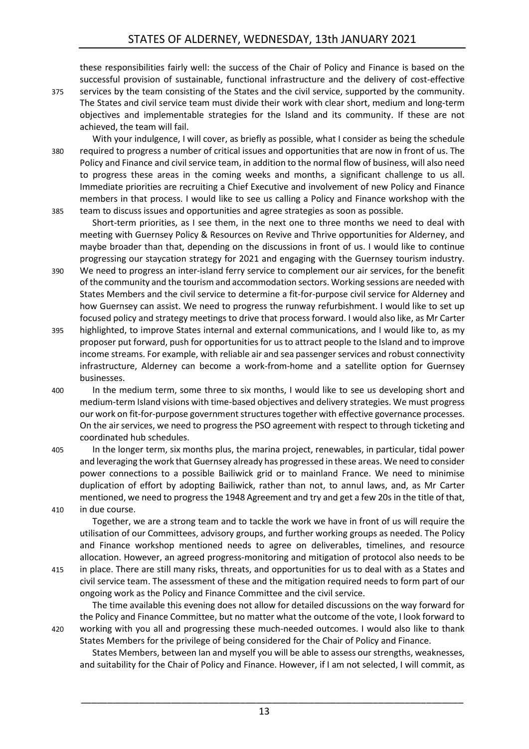these responsibilities fairly well: the success of the Chair of Policy and Finance is based on the successful provision of sustainable, functional infrastructure and the delivery of cost-effective

- 375 services by the team consisting of the States and the civil service, supported by the community. The States and civil service team must divide their work with clear short, medium and long-term objectives and implementable strategies for the Island and its community. If these are not achieved, the team will fail.
- With your indulgence, I will cover, as briefly as possible, what I consider as being the schedule 380 required to progress a number of critical issues and opportunities that are now in front of us. The Policy and Finance and civil service team, in addition to the normal flow of business, will also need to progress these areas in the coming weeks and months, a significant challenge to us all. Immediate priorities are recruiting a Chief Executive and involvement of new Policy and Finance members in that process. I would like to see us calling a Policy and Finance workshop with the 385 team to discuss issues and opportunities and agree strategies as soon as possible.

Short-term priorities, as I see them, in the next one to three months we need to deal with meeting with Guernsey Policy & Resources on Revive and Thrive opportunities for Alderney, and maybe broader than that, depending on the discussions in front of us. I would like to continue progressing our staycation strategy for 2021 and engaging with the Guernsey tourism industry.

- 390 We need to progress an inter-island ferry service to complement our air services, for the benefit of the community and the tourism and accommodation sectors. Working sessions are needed with States Members and the civil service to determine a fit-for-purpose civil service for Alderney and how Guernsey can assist. We need to progress the runway refurbishment. I would like to set up focused policy and strategy meetings to drive that process forward. I would also like, as Mr Carter
- 395 highlighted, to improve States internal and external communications, and I would like to, as my proposer put forward, push for opportunities for us to attract people to the Island and to improve income streams. For example, with reliable air and sea passenger services and robust connectivity infrastructure, Alderney can become a work-from-home and a satellite option for Guernsey businesses.
- 400 In the medium term, some three to six months, I would like to see us developing short and medium-term Island visions with time-based objectives and delivery strategies. We must progress our work on fit-for-purpose government structures together with effective governance processes. On the air services, we need to progress the PSO agreement with respect to through ticketing and coordinated hub schedules.
- 405 In the longer term, six months plus, the marina project, renewables, in particular, tidal power and leveraging the work that Guernsey already has progressed in these areas. We need to consider power connections to a possible Bailiwick grid or to mainland France. We need to minimise duplication of effort by adopting Bailiwick, rather than not, to annul laws, and, as Mr Carter mentioned, we need to progress the 1948 Agreement and try and get a few 20s in the title of that, 410 in due course.

Together, we are a strong team and to tackle the work we have in front of us will require the utilisation of our Committees, advisory groups, and further working groups as needed. The Policy and Finance workshop mentioned needs to agree on deliverables, timelines, and resource allocation. However, an agreed progress-monitoring and mitigation of protocol also needs to be

415 in place. There are still many risks, threats, and opportunities for us to deal with as a States and civil service team. The assessment of these and the mitigation required needs to form part of our ongoing work as the Policy and Finance Committee and the civil service.

The time available this evening does not allow for detailed discussions on the way forward for the Policy and Finance Committee, but no matter what the outcome of the vote, I look forward to 420 working with you all and progressing these much-needed outcomes. I would also like to thank States Members for the privilege of being considered for the Chair of Policy and Finance.

States Members, between Ian and myself you will be able to assess our strengths, weaknesses, and suitability for the Chair of Policy and Finance. However, if I am not selected, I will commit, as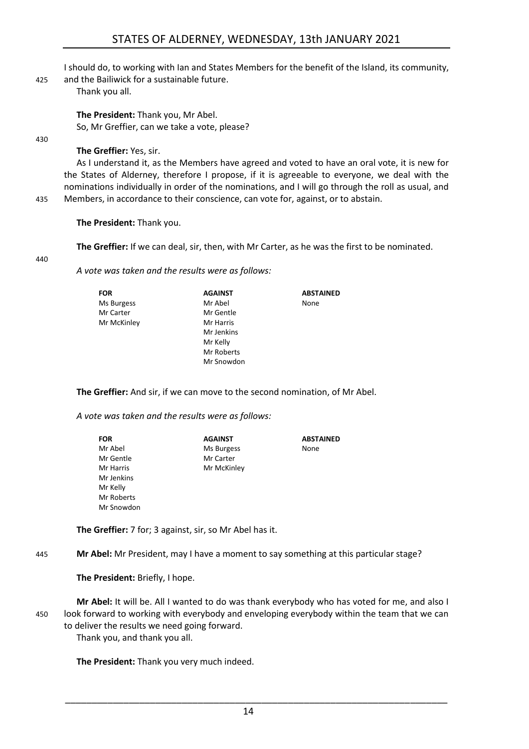I should do, to working with Ian and States Members for the benefit of the Island, its community,

425 and the Bailiwick for a sustainable future.

Thank you all.

**The President:** Thank you, Mr Abel. So, Mr Greffier, can we take a vote, please?

430

**The Greffier:** Yes, sir.

As I understand it, as the Members have agreed and voted to have an oral vote, it is new for the States of Alderney, therefore I propose, if it is agreeable to everyone, we deal with the nominations individually in order of the nominations, and I will go through the roll as usual, and 435 Members, in accordance to their conscience, can vote for, against, or to abstain.

**The President:** Thank you.

**The Greffier:** If we can deal, sir, then, with Mr Carter, as he was the first to be nominated.

440

*A vote was taken and the results were as follows:*

**FOR** Ms Burgess Mr Carter Mr McKinley **AGAINST** Mr Abel Mr Gentle Mr Harris Mr Jenkins Mr Kelly Mr Roberts Mr Snowdon **ABSTAINED** None

**The Greffier:** And sir, if we can move to the second nomination, of Mr Abel.

*A vote was taken and the results were as follows:*

| <b>FOR</b> | <b>AGAINST</b> | <b>ABSTAINED</b> |
|------------|----------------|------------------|
| Mr Abel    | Ms Burgess     | None             |
| Mr Gentle  | Mr Carter      |                  |
| Mr Harris  | Mr McKinley    |                  |
| Mr Jenkins |                |                  |
| Mr Kelly   |                |                  |
| Mr Roberts |                |                  |
| Mr Snowdon |                |                  |

**The Greffier:** 7 for; 3 against, sir, so Mr Abel has it.

445 **Mr Abel:** Mr President, may I have a moment to say something at this particular stage?

**The President:** Briefly, I hope.

**Mr Abel:** It will be. All I wanted to do was thank everybody who has voted for me, and also I 450 look forward to working with everybody and enveloping everybody within the team that we can to deliver the results we need going forward.

Thank you, and thank you all.

**The President:** Thank you very much indeed.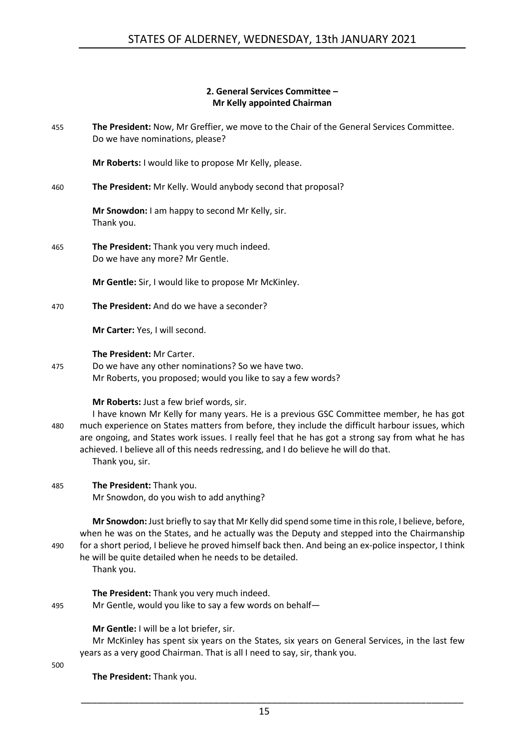## **2. General Services Committee – Mr Kelly appointed Chairman**

<span id="page-14-0"></span>455 **The President:** Now, Mr Greffier, we move to the Chair of the General Services Committee. Do we have nominations, please?

**Mr Roberts:** I would like to propose Mr Kelly, please.

460 **The President:** Mr Kelly. Would anybody second that proposal?

**Mr Snowdon:** I am happy to second Mr Kelly, sir. Thank you.

465 **The President:** Thank you very much indeed. Do we have any more? Mr Gentle.

**Mr Gentle:** Sir, I would like to propose Mr McKinley.

470 **The President:** And do we have a seconder?

**Mr Carter:** Yes, I will second.

**The President:** Mr Carter.

475 Do we have any other nominations? So we have two. Mr Roberts, you proposed; would you like to say a few words?

**Mr Roberts:** Just a few brief words, sir.

- I have known Mr Kelly for many years. He is a previous GSC Committee member, he has got 480 much experience on States matters from before, they include the difficult harbour issues, which are ongoing, and States work issues. I really feel that he has got a strong say from what he has achieved. I believe all of this needs redressing, and I do believe he will do that. Thank you, sir.
- 485 **The President:** Thank you.

Mr Snowdon, do you wish to add anything?

**Mr Snowdon:** Just briefly to say that Mr Kelly did spend some time in this role, I believe, before, when he was on the States, and he actually was the Deputy and stepped into the Chairmanship 490 for a short period, I believe he proved himself back then. And being an ex-police inspector, I think he will be quite detailed when he needs to be detailed. Thank you.

**The President:** Thank you very much indeed. 495 Mr Gentle, would you like to say a few words on behalf—

**Mr Gentle:** I will be a lot briefer, sir.

Mr McKinley has spent six years on the States, six years on General Services, in the last few years as a very good Chairman. That is all I need to say, sir, thank you.

500

**The President:** Thank you.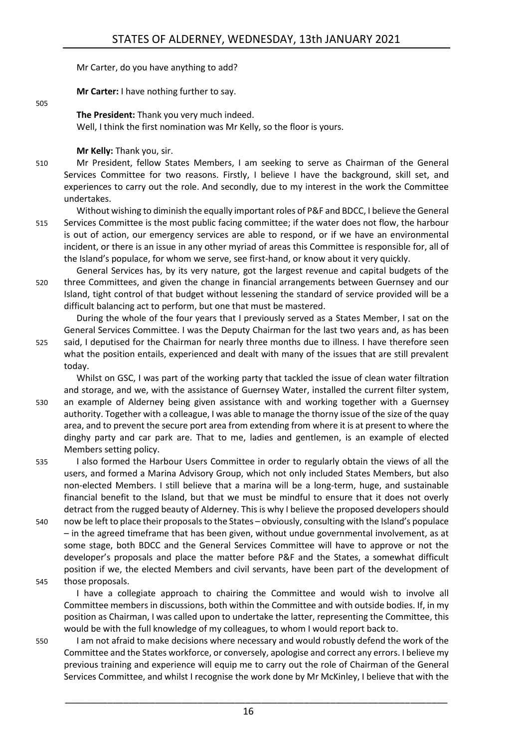Mr Carter, do you have anything to add?

**Mr Carter:** I have nothing further to say.

**The President:** Thank you very much indeed.

Well, I think the first nomination was Mr Kelly, so the floor is yours.

**Mr Kelly:** Thank you, sir.

505

510 Mr President, fellow States Members, I am seeking to serve as Chairman of the General Services Committee for two reasons. Firstly, I believe I have the background, skill set, and experiences to carry out the role. And secondly, due to my interest in the work the Committee undertakes.

Without wishing to diminish the equally important roles of P&F and BDCC, I believe the General 515 Services Committee is the most public facing committee; if the water does not flow, the harbour is out of action, our emergency services are able to respond, or if we have an environmental incident, or there is an issue in any other myriad of areas this Committee is responsible for, all of the Island's populace, for whom we serve, see first-hand, or know about it very quickly.

General Services has, by its very nature, got the largest revenue and capital budgets of the 520 three Committees, and given the change in financial arrangements between Guernsey and our Island, tight control of that budget without lessening the standard of service provided will be a difficult balancing act to perform, but one that must be mastered.

During the whole of the four years that I previously served as a States Member, I sat on the General Services Committee. I was the Deputy Chairman for the last two years and, as has been

525 said, I deputised for the Chairman for nearly three months due to illness. I have therefore seen what the position entails, experienced and dealt with many of the issues that are still prevalent today.

Whilst on GSC, I was part of the working party that tackled the issue of clean water filtration and storage, and we, with the assistance of Guernsey Water, installed the current filter system, 530 an example of Alderney being given assistance with and working together with a Guernsey authority. Together with a colleague, I was able to manage the thorny issue of the size of the quay area, and to prevent the secure port area from extending from where it is at present to where the dinghy party and car park are. That to me, ladies and gentlemen, is an example of elected Members setting policy.

535 I also formed the Harbour Users Committee in order to regularly obtain the views of all the users, and formed a Marina Advisory Group, which not only included States Members, but also non-elected Members. I still believe that a marina will be a long-term, huge, and sustainable financial benefit to the Island, but that we must be mindful to ensure that it does not overly detract from the rugged beauty of Alderney. This is why I believe the proposed developers should

540 now be left to place their proposals to the States – obviously, consulting with the Island's populace – in the agreed timeframe that has been given, without undue governmental involvement, as at some stage, both BDCC and the General Services Committee will have to approve or not the developer's proposals and place the matter before P&F and the States, a somewhat difficult position if we, the elected Members and civil servants, have been part of the development of 545 those proposals.

I have a collegiate approach to chairing the Committee and would wish to involve all Committee members in discussions, both within the Committee and with outside bodies. If, in my position as Chairman, I was called upon to undertake the latter, representing the Committee, this would be with the full knowledge of my colleagues, to whom I would report back to.

550 I am not afraid to make decisions where necessary and would robustly defend the work of the Committee and the States workforce, or conversely, apologise and correct any errors. I believe my previous training and experience will equip me to carry out the role of Chairman of the General Services Committee, and whilst I recognise the work done by Mr McKinley, I believe that with the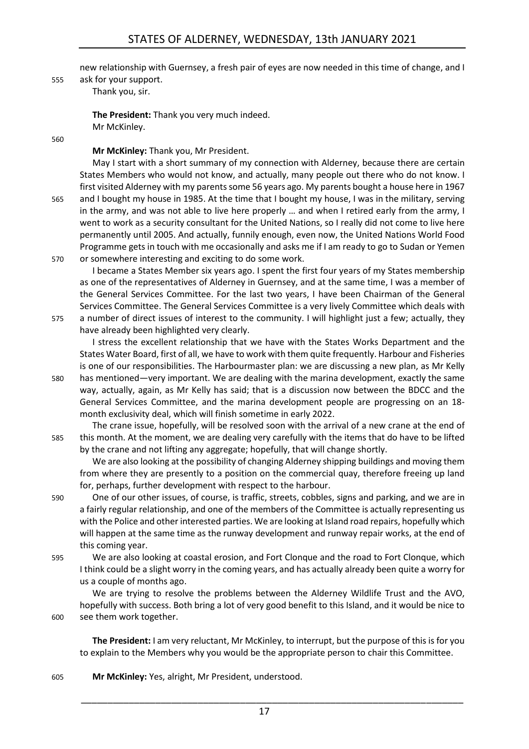new relationship with Guernsey, a fresh pair of eyes are now needed in this time of change, and I

555 ask for your support.

Thank you, sir.

**The President:** Thank you very much indeed. Mr McKinley.

560

## **Mr McKinley:** Thank you, Mr President.

May I start with a short summary of my connection with Alderney, because there are certain States Members who would not know, and actually, many people out there who do not know. I first visited Alderney with my parents some 56 years ago. My parents bought a house here in 1967 565 and I bought my house in 1985. At the time that I bought my house, I was in the military, serving in the army, and was not able to live here properly … and when I retired early from the army, I went to work as a security consultant for the United Nations, so I really did not come to live here permanently until 2005. And actually, funnily enough, even now, the United Nations World Food Programme gets in touch with me occasionally and asks me if I am ready to go to Sudan or Yemen 570 or somewhere interesting and exciting to do some work.

I became a States Member six years ago. I spent the first four years of my States membership as one of the representatives of Alderney in Guernsey, and at the same time, I was a member of the General Services Committee. For the last two years, I have been Chairman of the General Services Committee. The General Services Committee is a very lively Committee which deals with 575 a number of direct issues of interest to the community. I will highlight just a few; actually, they

have already been highlighted very clearly.

I stress the excellent relationship that we have with the States Works Department and the States Water Board, first of all, we have to work with them quite frequently. Harbour and Fisheries is one of our responsibilities. The Harbourmaster plan: we are discussing a new plan, as Mr Kelly 580 has mentioned—very important. We are dealing with the marina development, exactly the same

way, actually, again, as Mr Kelly has said; that is a discussion now between the BDCC and the General Services Committee, and the marina development people are progressing on an 18 month exclusivity deal, which will finish sometime in early 2022.

The crane issue, hopefully, will be resolved soon with the arrival of a new crane at the end of 585 this month. At the moment, we are dealing very carefully with the items that do have to be lifted by the crane and not lifting any aggregate; hopefully, that will change shortly.

We are also looking at the possibility of changing Alderney shipping buildings and moving them from where they are presently to a position on the commercial quay, therefore freeing up land for, perhaps, further development with respect to the harbour.

- 590 One of our other issues, of course, is traffic, streets, cobbles, signs and parking, and we are in a fairly regular relationship, and one of the members of the Committee is actually representing us with the Police and other interested parties. We are looking at Island road repairs, hopefully which will happen at the same time as the runway development and runway repair works, at the end of this coming year.
- 595 We are also looking at coastal erosion, and Fort Clonque and the road to Fort Clonque, which I think could be a slight worry in the coming years, and has actually already been quite a worry for us a couple of months ago.

We are trying to resolve the problems between the Alderney Wildlife Trust and the AVO, hopefully with success. Both bring a lot of very good benefit to this Island, and it would be nice to 600 see them work together.

**The President:** I am very reluctant, Mr McKinley, to interrupt, but the purpose of this is for you to explain to the Members why you would be the appropriate person to chair this Committee.

605 **Mr McKinley:** Yes, alright, Mr President, understood.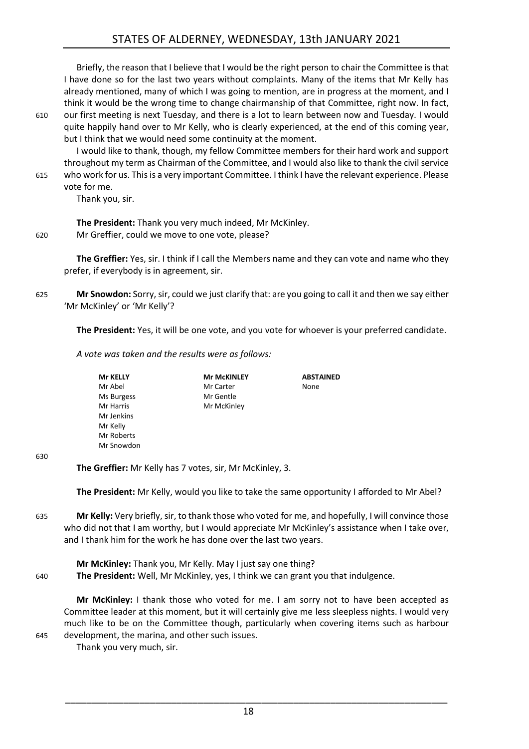Briefly, the reason that I believe that I would be the right person to chair the Committee is that I have done so for the last two years without complaints. Many of the items that Mr Kelly has already mentioned, many of which I was going to mention, are in progress at the moment, and I think it would be the wrong time to change chairmanship of that Committee, right now. In fact,

610 our first meeting is next Tuesday, and there is a lot to learn between now and Tuesday. I would quite happily hand over to Mr Kelly, who is clearly experienced, at the end of this coming year, but I think that we would need some continuity at the moment.

I would like to thank, though, my fellow Committee members for their hard work and support throughout my term as Chairman of the Committee, and I would also like to thank the civil service 615 who work for us. This is a very important Committee. I think I have the relevant experience. Please

## vote for me.

Thank you, sir.

**The President:** Thank you very much indeed, Mr McKinley. 620 Mr Greffier, could we move to one vote, please?

> **The Greffier:** Yes, sir. I think if I call the Members name and they can vote and name who they prefer, if everybody is in agreement, sir.

625 **Mr Snowdon:** Sorry, sir, could we just clarify that: are you going to call it and then we say either 'Mr McKinley' or 'Mr Kelly'?

**The President:** Yes, it will be one vote, and you vote for whoever is your preferred candidate.

*A vote was taken and the results were as follows:*

| <b>Mr KELLY</b> | <b>Mr McKINLEY</b> | <b>ABSTAINED</b> |
|-----------------|--------------------|------------------|
| Mr Abel         | Mr Carter          | None             |
| Ms Burgess      | Mr Gentle          |                  |
| Mr Harris       | Mr McKinley        |                  |
| Mr Jenkins      |                    |                  |
| Mr Kelly        |                    |                  |
| Mr Roberts      |                    |                  |
| Mr Snowdon      |                    |                  |
|                 |                    |                  |
|                 |                    |                  |

#### 630

**The Greffier:** Mr Kelly has 7 votes, sir, Mr McKinley, 3.

**The President:** Mr Kelly, would you like to take the same opportunity I afforded to Mr Abel?

635 **Mr Kelly:** Very briefly, sir, to thank those who voted for me, and hopefully, I will convince those who did not that I am worthy, but I would appreciate Mr McKinley's assistance when I take over, and I thank him for the work he has done over the last two years.

**Mr McKinley:** Thank you, Mr Kelly. May I just say one thing? 640 **The President:** Well, Mr McKinley, yes, I think we can grant you that indulgence.

**Mr McKinley:** I thank those who voted for me. I am sorry not to have been accepted as Committee leader at this moment, but it will certainly give me less sleepless nights. I would very much like to be on the Committee though, particularly when covering items such as harbour 645 development, the marina, and other such issues.

Thank you very much, sir.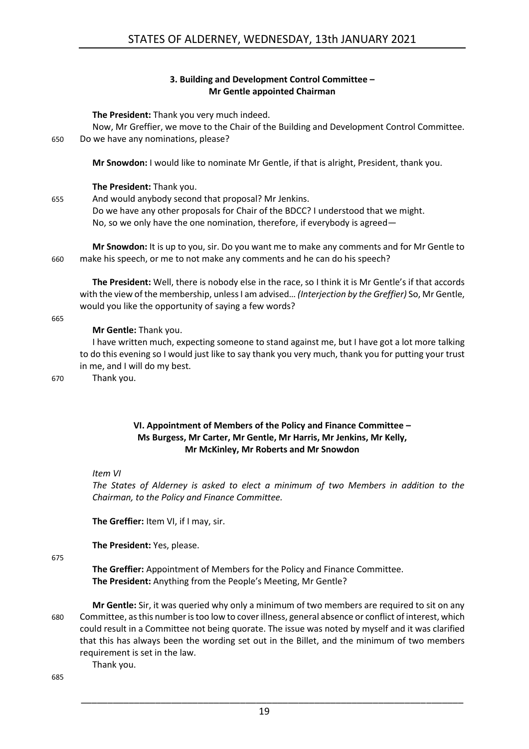## **3. Building and Development Control Committee – Mr Gentle appointed Chairman**

<span id="page-18-0"></span>**The President:** Thank you very much indeed.

Now, Mr Greffier, we move to the Chair of the Building and Development Control Committee. 650 Do we have any nominations, please?

**Mr Snowdon:** I would like to nominate Mr Gentle, if that is alright, President, thank you.

## **The President:** Thank you.

655 And would anybody second that proposal? Mr Jenkins. Do we have any other proposals for Chair of the BDCC? I understood that we might. No, so we only have the one nomination, therefore, if everybody is agreed—

**Mr Snowdon:** It is up to you, sir. Do you want me to make any comments and for Mr Gentle to 660 make his speech, or me to not make any comments and he can do his speech?

**The President:** Well, there is nobody else in the race, so I think it is Mr Gentle's if that accords with the view of the membership, unless I am advised… *(Interjection by the Greffier)* So, Mr Gentle, would you like the opportunity of saying a few words?

665

## **Mr Gentle:** Thank you.

I have written much, expecting someone to stand against me, but I have got a lot more talking to do this evening so I would just like to say thank you very much, thank you for putting your trust in me, and I will do my best.

670 Thank you.

## **VI. Appointment of Members of the Policy and Finance Committee – Ms Burgess, Mr Carter, Mr Gentle, Mr Harris, Mr Jenkins, Mr Kelly, Mr McKinley, Mr Roberts and Mr Snowdon**

### <span id="page-18-1"></span>*Item VI*

*The States of Alderney is asked to elect a minimum of two Members in addition to the Chairman, to the Policy and Finance Committee.*

**The Greffier:** Item VI, if I may, sir.

**The President:** Yes, please.

675

**The Greffier:** Appointment of Members for the Policy and Finance Committee. **The President:** Anything from the People's Meeting, Mr Gentle?

**Mr Gentle:** Sir, it was queried why only a minimum of two members are required to sit on any 680 Committee, as this number is too low to cover illness, general absence or conflict of interest, which could result in a Committee not being quorate. The issue was noted by myself and it was clarified that this has always been the wording set out in the Billet, and the minimum of two members requirement is set in the law.

Thank you.

685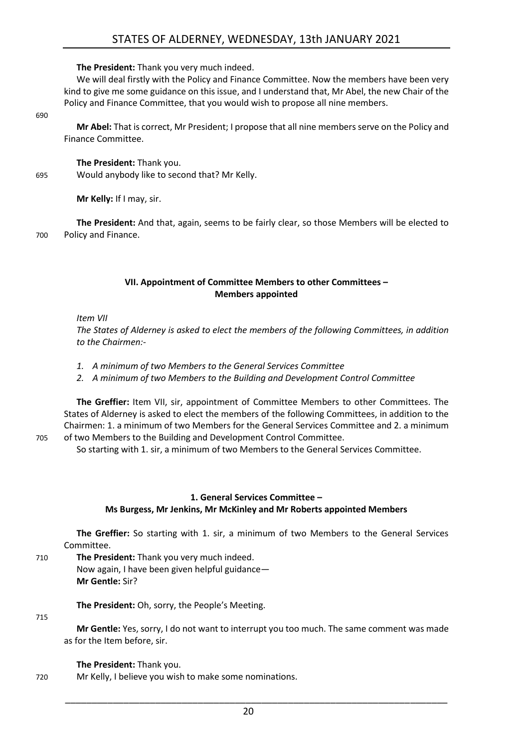**The President:** Thank you very much indeed.

We will deal firstly with the Policy and Finance Committee. Now the members have been very kind to give me some guidance on this issue, and I understand that, Mr Abel, the new Chair of the Policy and Finance Committee, that you would wish to propose all nine members.

690

**Mr Abel:** That is correct, Mr President; I propose that all nine members serve on the Policy and Finance Committee.

## **The President:** Thank you.

695 Would anybody like to second that? Mr Kelly.

**Mr Kelly:** If I may, sir.

**The President:** And that, again, seems to be fairly clear, so those Members will be elected to 700 Policy and Finance.

## **VII. Appointment of Committee Members to other Committees – Members appointed**

<span id="page-19-0"></span>*Item VII*

*The States of Alderney is asked to elect the members of the following Committees, in addition to the Chairmen:-*

- *1. A minimum of two Members to the General Services Committee*
- *2. A minimum of two Members to the Building and Development Control Committee*

**The Greffier:** Item VII, sir, appointment of Committee Members to other Committees. The States of Alderney is asked to elect the members of the following Committees, in addition to the Chairmen: 1. a minimum of two Members for the General Services Committee and 2. a minimum 705 of two Members to the Building and Development Control Committee.

So starting with 1. sir, a minimum of two Members to the General Services Committee.

## **1. General Services Committee – Ms Burgess, Mr Jenkins, Mr McKinley and Mr Roberts appointed Members**

<span id="page-19-1"></span>**The Greffier:** So starting with 1. sir, a minimum of two Members to the General Services Committee.

710 **The President:** Thank you very much indeed. Now again, I have been given helpful guidance— **Mr Gentle:** Sir?

**The President:** Oh, sorry, the People's Meeting.

## 715

**Mr Gentle:** Yes, sorry, I do not want to interrupt you too much. The same comment was made as for the Item before, sir.

## **The President:** Thank you.

720 Mr Kelly, I believe you wish to make some nominations.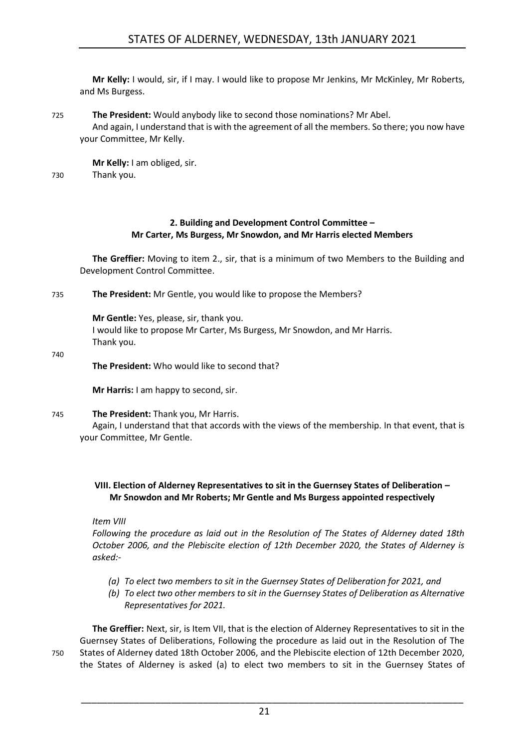**Mr Kelly:** I would, sir, if I may. I would like to propose Mr Jenkins, Mr McKinley, Mr Roberts, and Ms Burgess.

725 **The President:** Would anybody like to second those nominations? Mr Abel. And again, I understand that is with the agreement of all the members. So there; you now have your Committee, Mr Kelly.

**Mr Kelly:** I am obliged, sir. 730 Thank you.

## **2. Building and Development Control Committee – Mr Carter, Ms Burgess, Mr Snowdon, and Mr Harris elected Members**

<span id="page-20-0"></span>**The Greffier:** Moving to item 2., sir, that is a minimum of two Members to the Building and Development Control Committee.

735 **The President:** Mr Gentle, you would like to propose the Members?

**Mr Gentle:** Yes, please, sir, thank you.

I would like to propose Mr Carter, Ms Burgess, Mr Snowdon, and Mr Harris. Thank you.

740

**The President:** Who would like to second that?

**Mr Harris:** I am happy to second, sir.

### 745 **The President:** Thank you, Mr Harris.

Again, I understand that that accords with the views of the membership. In that event, that is your Committee, Mr Gentle.

## <span id="page-20-1"></span>**VIII. Election of Alderney Representatives to sit in the Guernsey States of Deliberation – Mr Snowdon and Mr Roberts; Mr Gentle and Ms Burgess appointed respectively**

*Item VIII*

*Following the procedure as laid out in the Resolution of The States of Alderney dated 18th October 2006, and the Plebiscite election of 12th December 2020, the States of Alderney is asked:-*

- *(a) To elect two members to sit in the Guernsey States of Deliberation for 2021, and*
- *(b) To elect two other members to sit in the Guernsey States of Deliberation as Alternative Representatives for 2021.*

**The Greffier:** Next, sir, is Item VII, that is the election of Alderney Representatives to sit in the Guernsey States of Deliberations, Following the procedure as laid out in the Resolution of The 750 States of Alderney dated 18th October 2006, and the Plebiscite election of 12th December 2020, the States of Alderney is asked (a) to elect two members to sit in the Guernsey States of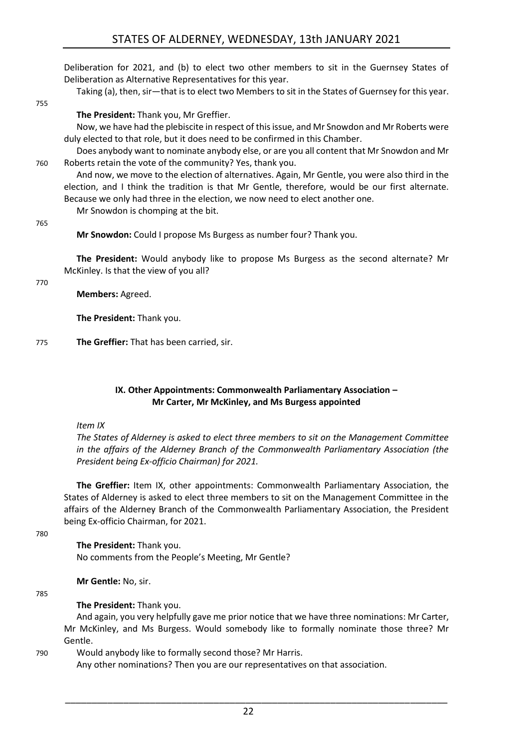Deliberation for 2021, and (b) to elect two other members to sit in the Guernsey States of Deliberation as Alternative Representatives for this year.

Taking (a), then, sir—that is to elect two Members to sit in the States of Guernsey for this year.

#### 755

**The President:** Thank you, Mr Greffier.

Now, we have had the plebiscite in respect of this issue, and Mr Snowdon and Mr Roberts were duly elected to that role, but it does need to be confirmed in this Chamber.

Does anybody want to nominate anybody else, or are you all content that Mr Snowdon and Mr 760 Roberts retain the vote of the community? Yes, thank you.

And now, we move to the election of alternatives. Again, Mr Gentle, you were also third in the election, and I think the tradition is that Mr Gentle, therefore, would be our first alternate. Because we only had three in the election, we now need to elect another one. Mr Snowdon is chomping at the bit.

765

**Mr Snowdon:** Could I propose Ms Burgess as number four? Thank you.

**The President:** Would anybody like to propose Ms Burgess as the second alternate? Mr McKinley. Is that the view of you all?

#### 770

**Members:** Agreed.

**The President:** Thank you.

775 **The Greffier:** That has been carried, sir.

## **IX. Other Appointments: Commonwealth Parliamentary Association – Mr Carter, Mr McKinley, and Ms Burgess appointed**

<span id="page-21-0"></span>*Item IX*

*The States of Alderney is asked to elect three members to sit on the Management Committee in the affairs of the Alderney Branch of the Commonwealth Parliamentary Association (the President being Ex-officio Chairman) for 2021.*

**The Greffier:** Item IX, other appointments: Commonwealth Parliamentary Association, the States of Alderney is asked to elect three members to sit on the Management Committee in the affairs of the Alderney Branch of the Commonwealth Parliamentary Association, the President being Ex-officio Chairman, for 2021.

780

**The President:** Thank you. No comments from the People's Meeting, Mr Gentle?

**Mr Gentle:** No, sir.

785

**The President:** Thank you.

And again, you very helpfully gave me prior notice that we have three nominations: Mr Carter, Mr McKinley, and Ms Burgess. Would somebody like to formally nominate those three? Mr Gentle.

790 Would anybody like to formally second those? Mr Harris.

Any other nominations? Then you are our representatives on that association.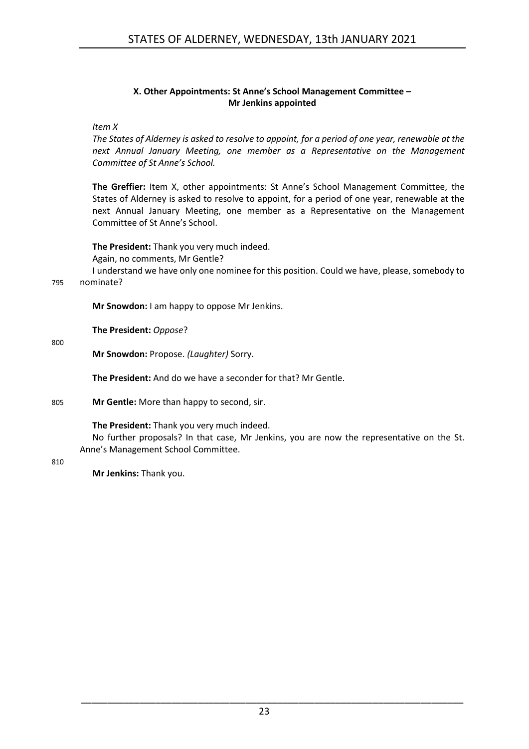## **X. Other Appointments: St Anne's School Management Committee – Mr Jenkins appointed**

## <span id="page-22-0"></span>*Item X*

*The States of Alderney is asked to resolve to appoint, for a period of one year, renewable at the next Annual January Meeting, one member as a Representative on the Management Committee of St Anne's School.*

**The Greffier:** Item X, other appointments: St Anne's School Management Committee, the States of Alderney is asked to resolve to appoint, for a period of one year, renewable at the next Annual January Meeting, one member as a Representative on the Management Committee of St Anne's School.

**The President:** Thank you very much indeed. Again, no comments, Mr Gentle?

I understand we have only one nominee for this position. Could we have, please, somebody to

795 nominate?

**Mr Snowdon:** I am happy to oppose Mr Jenkins.

**The President:** *Oppose*?

800

**Mr Snowdon:** Propose. *(Laughter)* Sorry.

**The President:** And do we have a seconder for that? Mr Gentle.

805 **Mr Gentle:** More than happy to second, sir.

**The President:** Thank you very much indeed.

No further proposals? In that case, Mr Jenkins, you are now the representative on the St. Anne's Management School Committee.

810

**Mr Jenkins:** Thank you.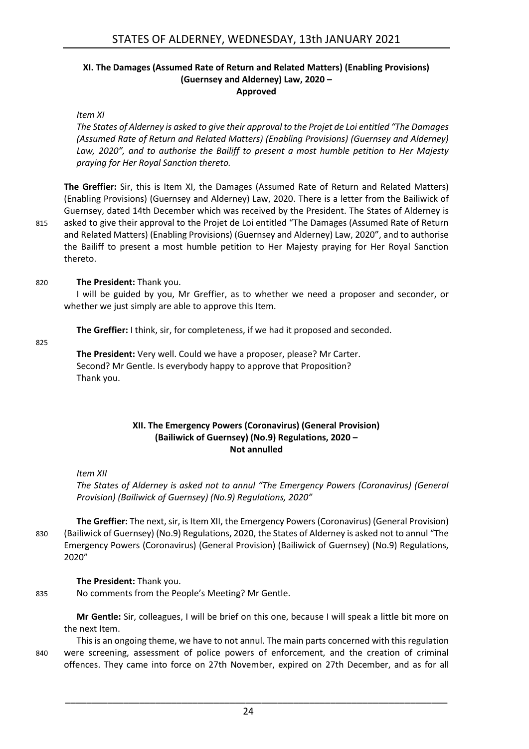## <span id="page-23-0"></span>**XI. The Damages (Assumed Rate of Return and Related Matters) (Enabling Provisions) (Guernsey and Alderney) Law, 2020 – Approved**

*Item XI*

*The States of Alderney is asked to give their approval to the Projet de Loi entitled "The Damages (Assumed Rate of Return and Related Matters) (Enabling Provisions) (Guernsey and Alderney) Law, 2020", and to authorise the Bailiff to present a most humble petition to Her Majesty praying for Her Royal Sanction thereto.*

**The Greffier:** Sir, this is Item XI, the Damages (Assumed Rate of Return and Related Matters) (Enabling Provisions) (Guernsey and Alderney) Law, 2020. There is a letter from the Bailiwick of Guernsey, dated 14th December which was received by the President. The States of Alderney is 815 asked to give their approval to the Projet de Loi entitled "The Damages (Assumed Rate of Return and Related Matters) (Enabling Provisions) (Guernsey and Alderney) Law, 2020", and to authorise the Bailiff to present a most humble petition to Her Majesty praying for Her Royal Sanction thereto.

## 820 **The President:** Thank you.

I will be guided by you, Mr Greffier, as to whether we need a proposer and seconder, or whether we just simply are able to approve this Item.

**The Greffier:** I think, sir, for completeness, if we had it proposed and seconded.

825

**The President:** Very well. Could we have a proposer, please? Mr Carter. Second? Mr Gentle. Is everybody happy to approve that Proposition? Thank you.

## **XII. The Emergency Powers (Coronavirus) (General Provision) (Bailiwick of Guernsey) (No.9) Regulations, 2020 – Not annulled**

<span id="page-23-1"></span>*Item XII*

*The States of Alderney is asked not to annul "The Emergency Powers (Coronavirus) (General Provision) (Bailiwick of Guernsey) (No.9) Regulations, 2020"*

**The Greffier:** The next, sir, is Item XII, the Emergency Powers (Coronavirus) (General Provision) 830 (Bailiwick of Guernsey) (No.9) Regulations, 2020, the States of Alderney is asked not to annul "The Emergency Powers (Coronavirus) (General Provision) (Bailiwick of Guernsey) (No.9) Regulations, 2020"

## **The President:** Thank you.

835 No comments from the People's Meeting? Mr Gentle.

**Mr Gentle:** Sir, colleagues, I will be brief on this one, because I will speak a little bit more on the next Item.

This is an ongoing theme, we have to not annul. The main parts concerned with this regulation 840 were screening, assessment of police powers of enforcement, and the creation of criminal offences. They came into force on 27th November, expired on 27th December, and as for all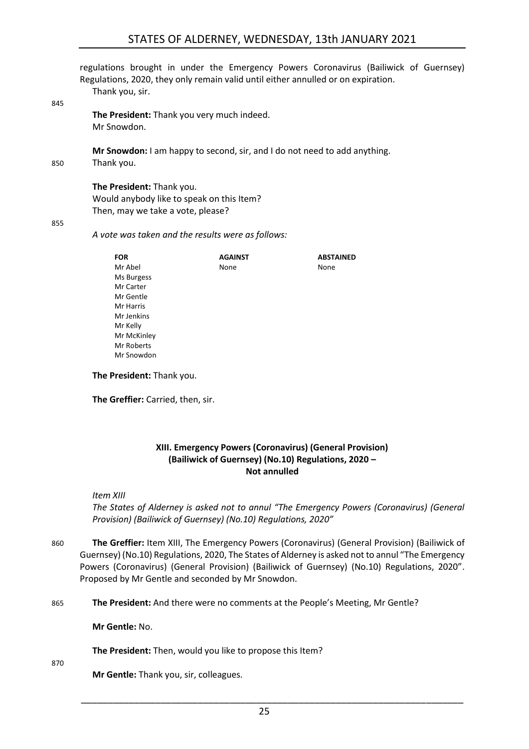## STATES OF ALDERNEY, WEDNESDAY, 13th JANUARY 2021

regulations brought in under the Emergency Powers Coronavirus (Bailiwick of Guernsey) Regulations, 2020, they only remain valid until either annulled or on expiration. Thank you, sir.

845

**The President:** Thank you very much indeed. Mr Snowdon.

**Mr Snowdon:** I am happy to second, sir, and I do not need to add anything. 850 Thank you.

> **The President:** Thank you. Would anybody like to speak on this Item? Then, may we take a vote, please?

#### 855

*A vote was taken and the results were as follows:*

| <b>FOR</b>  | <b>AGAINST</b> | <b>ABSTAINED</b> |
|-------------|----------------|------------------|
| Mr Abel     | None           | None             |
| Ms Burgess  |                |                  |
| Mr Carter   |                |                  |
| Mr Gentle   |                |                  |
| Mr Harris   |                |                  |
| Mr Jenkins  |                |                  |
| Mr Kelly    |                |                  |
| Mr McKinley |                |                  |
| Mr Roberts  |                |                  |
| Mr Snowdon  |                |                  |

**The President:** Thank you.

<span id="page-24-0"></span>**The Greffier:** Carried, then, sir.

### **XIII. Emergency Powers (Coronavirus) (General Provision) (Bailiwick of Guernsey) (No.10) Regulations, 2020 – Not annulled**

*Item XIII*

*The States of Alderney is asked not to annul "The Emergency Powers (Coronavirus) (General Provision) (Bailiwick of Guernsey) (No.10) Regulations, 2020"*

- 860 **The Greffier:** Item XIII, The Emergency Powers (Coronavirus) (General Provision) (Bailiwick of Guernsey) (No.10) Regulations, 2020, The States of Alderney is asked not to annul "The Emergency Powers (Coronavirus) (General Provision) (Bailiwick of Guernsey) (No.10) Regulations, 2020". Proposed by Mr Gentle and seconded by Mr Snowdon.
- 865 **The President:** And there were no comments at the People's Meeting, Mr Gentle?

**Mr Gentle:** No.

**The President:** Then, would you like to propose this Item?

870

**Mr Gentle:** Thank you, sir, colleagues.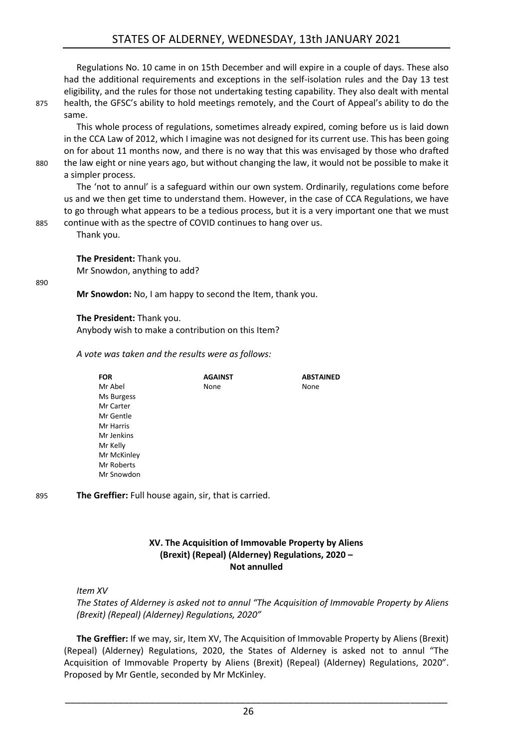Regulations No. 10 came in on 15th December and will expire in a couple of days. These also had the additional requirements and exceptions in the self-isolation rules and the Day 13 test eligibility, and the rules for those not undertaking testing capability. They also dealt with mental 875 health, the GFSC's ability to hold meetings remotely, and the Court of Appeal's ability to do the same.

This whole process of regulations, sometimes already expired, coming before us is laid down in the CCA Law of 2012, which I imagine was not designed for its current use. This has been going on for about 11 months now, and there is no way that this was envisaged by those who drafted 880 the law eight or nine years ago, but without changing the law, it would not be possible to make it a simpler process.

The 'not to annul' is a safeguard within our own system. Ordinarily, regulations come before us and we then get time to understand them. However, in the case of CCA Regulations, we have to go through what appears to be a tedious process, but it is a very important one that we must 885 continue with as the spectre of COVID continues to hang over us.

Thank you.

**The President:** Thank you. Mr Snowdon, anything to add?

#### 890

**Mr Snowdon:** No, I am happy to second the Item, thank you.

**The President:** Thank you. Anybody wish to make a contribution on this Item?

*A vote was taken and the results were as follows:*

**FOR** Mr Abel Ms Burgess Mr Carter Mr Gentle Mr Harris Mr Jenkins Mr Kelly Mr McKinley Mr Roberts Mr Snowdon **AGAINST** None **ABSTAINED** None

895 **The Greffier:** Full house again, sir, that is carried.

## **XV. The Acquisition of Immovable Property by Aliens (Brexit) (Repeal) (Alderney) Regulations, 2020 – Not annulled**

<span id="page-25-0"></span>*Item XV*

*The States of Alderney is asked not to annul "The Acquisition of Immovable Property by Aliens (Brexit) (Repeal) (Alderney) Regulations, 2020"*

**The Greffier:** If we may, sir, Item XV, The Acquisition of Immovable Property by Aliens (Brexit) (Repeal) (Alderney) Regulations, 2020, the States of Alderney is asked not to annul "The Acquisition of Immovable Property by Aliens (Brexit) (Repeal) (Alderney) Regulations, 2020". Proposed by Mr Gentle, seconded by Mr McKinley.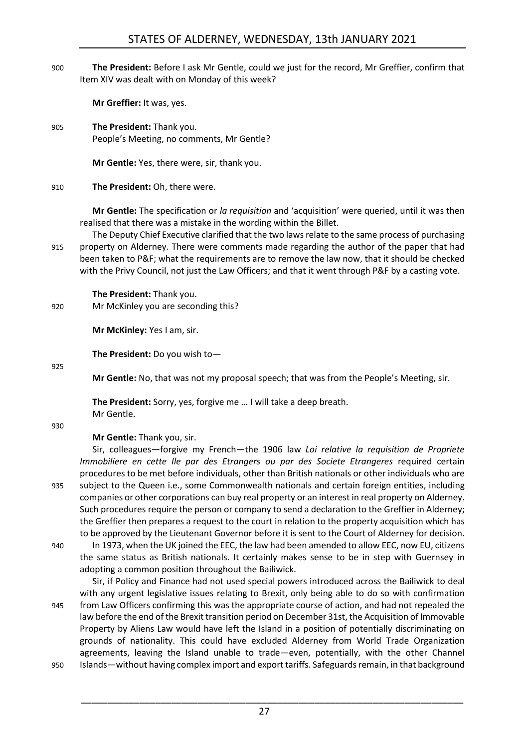900 **The President:** Before I ask Mr Gentle, could we just for the record, Mr Greffier, confirm that Item XIV was dealt with on Monday of this week?

**Mr Greffier:** It was, yes.

905 **The President:** Thank you. People's Meeting, no comments, Mr Gentle?

**Mr Gentle:** Yes, there were, sir, thank you.

## 910 **The President:** Oh, there were.

**Mr Gentle:** The specification or *la requisition* and 'acquisition' were queried, until it was then realised that there was a mistake in the wording within the Billet.

The Deputy Chief Executive clarified that the two laws relate to the same process of purchasing 915 property on Alderney. There were comments made regarding the author of the paper that had been taken to P&F; what the requirements are to remove the law now, that it should be checked with the Privy Council, not just the Law Officers; and that it went through P&F by a casting vote.

## **The President:** Thank you.

920 Mr McKinley you are seconding this?

**Mr McKinley:** Yes I am, sir.

**The President:** Do you wish to—

925

**Mr Gentle:** No, that was not my proposal speech; that was from the People's Meeting, sir.

**The President:** Sorry, yes, forgive me … I will take a deep breath. Mr Gentle.

930

## **Mr Gentle:** Thank you, sir.

Sir, colleagues—forgive my French—the 1906 law *Loi relative la requisition de Propriete Immobiliere en cette Ile par des Etrangers ou par des Societe Etrangeres* required certain procedures to be met before individuals, other than British nationals or other individuals who are 935 subject to the Queen i.e., some Commonwealth nationals and certain foreign entities, including companies or other corporations can buy real property or an interest in real property on Alderney. Such procedures require the person or company to send a declaration to the Greffier in Alderney; the Greffier then prepares a request to the court in relation to the property acquisition which has

to be approved by the Lieutenant Governor before it is sent to the Court of Alderney for decision. 940 In 1973, when the UK joined the EEC, the law had been amended to allow EEC, now EU, citizens the same status as British nationals. It certainly makes sense to be in step with Guernsey in adopting a common position throughout the Bailiwick.

Sir, if Policy and Finance had not used special powers introduced across the Bailiwick to deal with any urgent legislative issues relating to Brexit, only being able to do so with confirmation 945 from Law Officers confirming this was the appropriate course of action, and had not repealed the law before the end of the Brexit transition period on December 31st, the Acquisition of Immovable Property by Aliens Law would have left the Island in a position of potentially discriminating on grounds of nationality. This could have excluded Alderney from World Trade Organization agreements, leaving the Island unable to trade—even, potentially, with the other Channel

950 Islands—without having complex import and export tariffs. Safeguards remain, in that background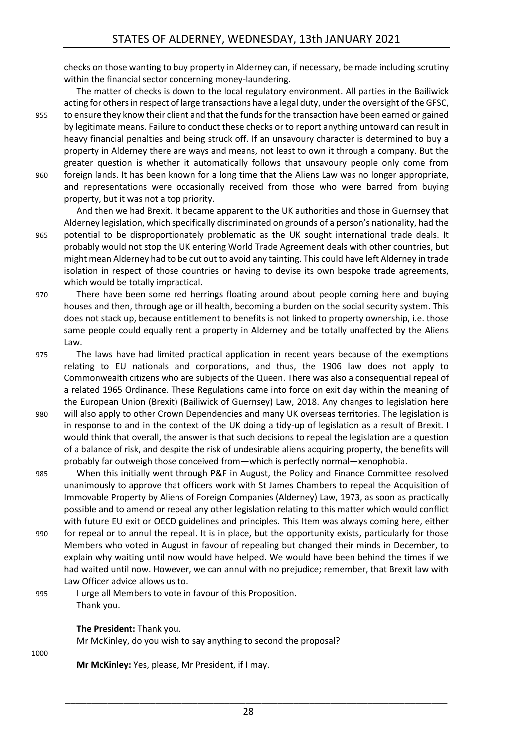checks on those wanting to buy property in Alderney can, if necessary, be made including scrutiny within the financial sector concerning money-laundering.

The matter of checks is down to the local regulatory environment. All parties in the Bailiwick acting for others in respect of large transactions have a legal duty, under the oversight of the GFSC, 955 to ensure they know their client and that the funds for the transaction have been earned or gained by legitimate means. Failure to conduct these checks or to report anything untoward can result in heavy financial penalties and being struck off. If an unsavoury character is determined to buy a property in Alderney there are ways and means, not least to own it through a company. But the greater question is whether it automatically follows that unsavoury people only come from 960 foreign lands. It has been known for a long time that the Aliens Law was no longer appropriate, and representations were occasionally received from those who were barred from buying property, but it was not a top priority.

- And then we had Brexit. It became apparent to the UK authorities and those in Guernsey that Alderney legislation, which specifically discriminated on grounds of a person's nationality, had the 965 potential to be disproportionately problematic as the UK sought international trade deals. It probably would not stop the UK entering World Trade Agreement deals with other countries, but might mean Alderney had to be cut out to avoid any tainting. This could have left Alderney in trade isolation in respect of those countries or having to devise its own bespoke trade agreements, which would be totally impractical.
- 970 There have been some red herrings floating around about people coming here and buying houses and then, through age or ill health, becoming a burden on the social security system. This does not stack up, because entitlement to benefits is not linked to property ownership, i.e. those same people could equally rent a property in Alderney and be totally unaffected by the Aliens Law.

975 The laws have had limited practical application in recent years because of the exemptions relating to EU nationals and corporations, and thus, the 1906 law does not apply to Commonwealth citizens who are subjects of the Queen. There was also a consequential repeal of a related 1965 Ordinance. These Regulations came into force on exit day within the meaning of the European Union (Brexit) (Bailiwick of Guernsey) Law, 2018. Any changes to legislation here

- 980 will also apply to other Crown Dependencies and many UK overseas territories. The legislation is in response to and in the context of the UK doing a tidy-up of legislation as a result of Brexit. I would think that overall, the answer is that such decisions to repeal the legislation are a question of a balance of risk, and despite the risk of undesirable aliens acquiring property, the benefits will probably far outweigh those conceived from—which is perfectly normal—xenophobia.
- 985 When this initially went through P&F in August, the Policy and Finance Committee resolved unanimously to approve that officers work with St James Chambers to repeal the Acquisition of Immovable Property by Aliens of Foreign Companies (Alderney) Law, 1973, as soon as practically possible and to amend or repeal any other legislation relating to this matter which would conflict with future EU exit or OECD guidelines and principles. This Item was always coming here, either
- 990 for repeal or to annul the repeal. It is in place, but the opportunity exists, particularly for those Members who voted in August in favour of repealing but changed their minds in December, to explain why waiting until now would have helped. We would have been behind the times if we had waited until now. However, we can annul with no prejudice; remember, that Brexit law with Law Officer advice allows us to.
- 995 I urge all Members to vote in favour of this Proposition. Thank you.

## **The President:** Thank you.

Mr McKinley, do you wish to say anything to second the proposal?

1000

**Mr McKinley:** Yes, please, Mr President, if I may.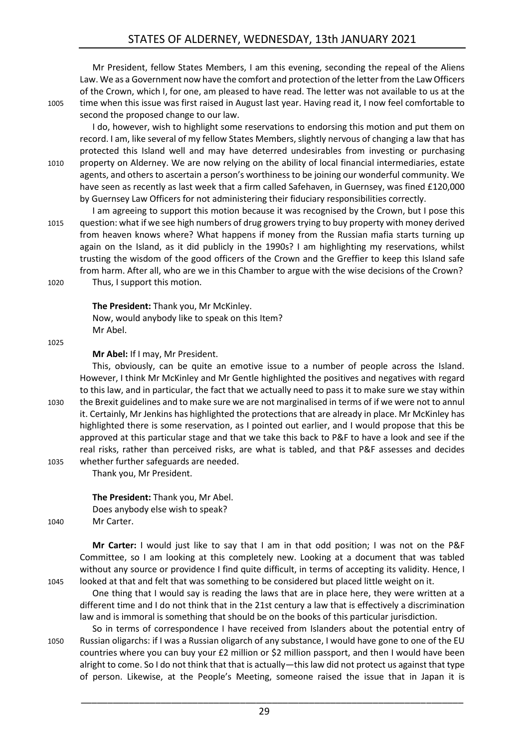## STATES OF ALDERNEY, WEDNESDAY, 13th JANUARY 2021

Mr President, fellow States Members, I am this evening, seconding the repeal of the Aliens Law. We as a Government now have the comfort and protection of the letter from the Law Officers of the Crown, which I, for one, am pleased to have read. The letter was not available to us at the 1005 time when this issue was first raised in August last year. Having read it, I now feel comfortable to second the proposed change to our law.

I do, however, wish to highlight some reservations to endorsing this motion and put them on

record. I am, like several of my fellow States Members, slightly nervous of changing a law that has protected this Island well and may have deterred undesirables from investing or purchasing 1010 property on Alderney. We are now relying on the ability of local financial intermediaries, estate agents, and others to ascertain a person's worthiness to be joining our wonderful community. We have seen as recently as last week that a firm called Safehaven, in Guernsey, was fined £120,000 by Guernsey Law Officers for not administering their fiduciary responsibilities correctly.

I am agreeing to support this motion because it was recognised by the Crown, but I pose this 1015 question: what if we see high numbers of drug growers trying to buy property with money derived from heaven knows where? What happens if money from the Russian mafia starts turning up again on the Island, as it did publicly in the 1990s? I am highlighting my reservations, whilst trusting the wisdom of the good officers of the Crown and the Greffier to keep this Island safe from harm. After all, who are we in this Chamber to argue with the wise decisions of the Crown? 1020 Thus, I support this motion.

**The President:** Thank you, Mr McKinley. Now, would anybody like to speak on this Item? Mr Abel.

1025

**Mr Abel:** If I may, Mr President.

This, obviously, can be quite an emotive issue to a number of people across the Island. However, I think Mr McKinley and Mr Gentle highlighted the positives and negatives with regard to this law, and in particular, the fact that we actually need to pass it to make sure we stay within 1030 the Brexit guidelines and to make sure we are not marginalised in terms of if we were not to annul it. Certainly, Mr Jenkins has highlighted the protections that are already in place. Mr McKinley has highlighted there is some reservation, as I pointed out earlier, and I would propose that this be approved at this particular stage and that we take this back to P&F to have a look and see if the real risks, rather than perceived risks, are what is tabled, and that P&F assesses and decides 1035 whether further safeguards are needed.

Thank you, Mr President.

**The President:** Thank you, Mr Abel. Does anybody else wish to speak? 1040 Mr Carter.

**Mr Carter:** I would just like to say that I am in that odd position; I was not on the P&F Committee, so I am looking at this completely new. Looking at a document that was tabled without any source or providence I find quite difficult, in terms of accepting its validity. Hence, I 1045 looked at that and felt that was something to be considered but placed little weight on it.

One thing that I would say is reading the laws that are in place here, they were written at a different time and I do not think that in the 21st century a law that is effectively a discrimination law and is immoral is something that should be on the books of this particular jurisdiction.

So in terms of correspondence I have received from Islanders about the potential entry of 1050 Russian oligarchs: if I was a Russian oligarch of any substance, I would have gone to one of the EU countries where you can buy your £2 million or \$2 million passport, and then I would have been alright to come. So I do not think that that is actually—this law did not protect us against that type of person. Likewise, at the People's Meeting, someone raised the issue that in Japan it is

29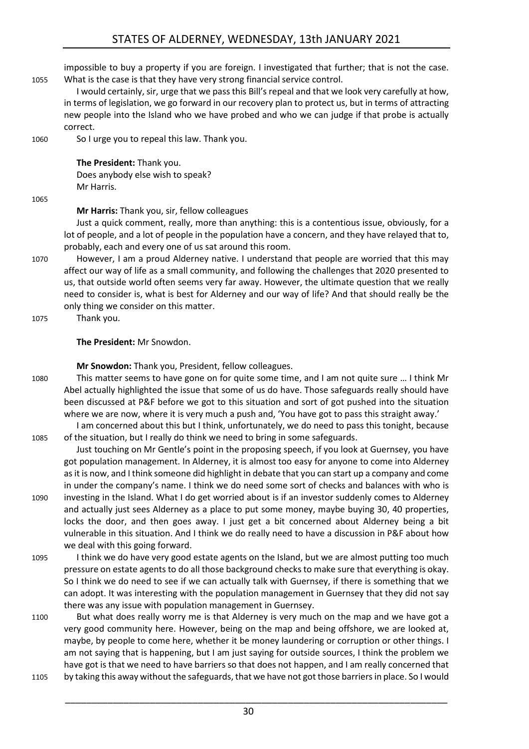impossible to buy a property if you are foreign. I investigated that further; that is not the case. 1055 What is the case is that they have very strong financial service control.

I would certainly, sir, urge that we pass this Bill's repeal and that we look very carefully at how, in terms of legislation, we go forward in our recovery plan to protect us, but in terms of attracting new people into the Island who we have probed and who we can judge if that probe is actually correct.

1060 So I urge you to repeal this law. Thank you.

**The President:** Thank you. Does anybody else wish to speak? Mr Harris.

1065

**Mr Harris:** Thank you, sir, fellow colleagues

Just a quick comment, really, more than anything: this is a contentious issue, obviously, for a lot of people, and a lot of people in the population have a concern, and they have relayed that to, probably, each and every one of us sat around this room.

1070 However, I am a proud Alderney native. I understand that people are worried that this may affect our way of life as a small community, and following the challenges that 2020 presented to us, that outside world often seems very far away. However, the ultimate question that we really need to consider is, what is best for Alderney and our way of life? And that should really be the only thing we consider on this matter.

1075 Thank you.

## **The President:** Mr Snowdon.

**Mr Snowdon:** Thank you, President, fellow colleagues.

1080 This matter seems to have gone on for quite some time, and I am not quite sure … I think Mr Abel actually highlighted the issue that some of us do have. Those safeguards really should have been discussed at P&F before we got to this situation and sort of got pushed into the situation where we are now, where it is very much a push and, 'You have got to pass this straight away.'

I am concerned about this but I think, unfortunately, we do need to pass this tonight, because 1085 of the situation, but I really do think we need to bring in some safeguards.

Just touching on Mr Gentle's point in the proposing speech, if you look at Guernsey, you have got population management. In Alderney, it is almost too easy for anyone to come into Alderney as it is now, and I think someone did highlight in debate that you can start up a company and come in under the company's name. I think we do need some sort of checks and balances with who is 1090 investing in the Island. What I do get worried about is if an investor suddenly comes to Alderney

- and actually just sees Alderney as a place to put some money, maybe buying 30, 40 properties, locks the door, and then goes away. I just get a bit concerned about Alderney being a bit vulnerable in this situation. And I think we do really need to have a discussion in P&F about how we deal with this going forward.
- 1095 I think we do have very good estate agents on the Island, but we are almost putting too much pressure on estate agents to do all those background checks to make sure that everything is okay. So I think we do need to see if we can actually talk with Guernsey, if there is something that we can adopt. It was interesting with the population management in Guernsey that they did not say there was any issue with population management in Guernsey.
- 1100 But what does really worry me is that Alderney is very much on the map and we have got a very good community here. However, being on the map and being offshore, we are looked at, maybe, by people to come here, whether it be money laundering or corruption or other things. I am not saying that is happening, but I am just saying for outside sources, I think the problem we have got is that we need to have barriers so that does not happen, and I am really concerned that 1105 by taking this away without the safeguards, that we have not got those barriers in place. So I would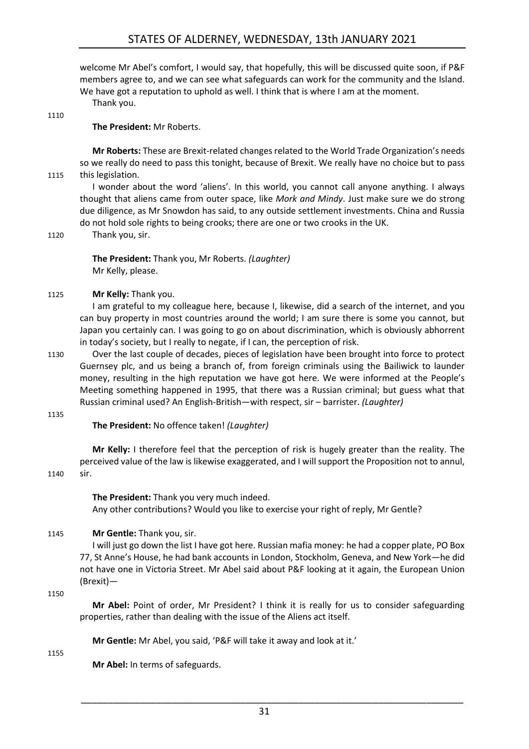welcome Mr Abel's comfort, I would say, that hopefully, this will be discussed quite soon, if P&F members agree to, and we can see what safeguards can work for the community and the Island. We have got a reputation to uphold as well. I think that is where I am at the moment.

Thank you.

## **The President:** Mr Roberts.

**Mr Roberts:** These are Brexit-related changes related to the World Trade Organization's needs so we really do need to pass this tonight, because of Brexit. We really have no choice but to pass 1115 this legislation.

I wonder about the word 'aliens'. In this world, you cannot call anyone anything. I always thought that aliens came from outer space, like *Mork and Mindy*. Just make sure we do strong due diligence, as Mr Snowdon has said, to any outside settlement investments. China and Russia do not hold sole rights to being crooks; there are one or two crooks in the UK.

1110

1120 Thank you, sir.

**The President:** Thank you, Mr Roberts. *(Laughter)* Mr Kelly, please.

## 1125 **Mr Kelly:** Thank you.

I am grateful to my colleague here, because I, likewise, did a search of the internet, and you can buy property in most countries around the world; I am sure there is some you cannot, but Japan you certainly can. I was going to go on about discrimination, which is obviously abhorrent in today's society, but I really to negate, if I can, the perception of risk.

1130 Over the last couple of decades, pieces of legislation have been brought into force to protect Guernsey plc, and us being a branch of, from foreign criminals using the Bailiwick to launder money, resulting in the high reputation we have got here. We were informed at the People's Meeting something happened in 1995, that there was a Russian criminal; but guess what that Russian criminal used? An English-British—with respect, sir – barrister. *(Laughter)*

#### 1135

**The President:** No offence taken! *(Laughter)*

**Mr Kelly:** I therefore feel that the perception of risk is hugely greater than the reality. The perceived value of the law is likewise exaggerated, and I will support the Proposition not to annul,

#### 1140 sir.

**The President:** Thank you very much indeed. Any other contributions? Would you like to exercise your right of reply, Mr Gentle?

## 1145 **Mr Gentle:** Thank you, sir.

I will just go down the list I have got here. Russian mafia money: he had a copper plate, PO Box 77, St Anne's House, he had bank accounts in London, Stockholm, Geneva, and New York—he did not have one in Victoria Street. Mr Abel said about P&F looking at it again, the European Union (Brexit)—

1150

**Mr Abel:** Point of order, Mr President? I think it is really for us to consider safeguarding properties, rather than dealing with the issue of the Aliens act itself.

**Mr Gentle:** Mr Abel, you said, 'P&F will take it away and look at it.'

1155

**Mr Abel:** In terms of safeguards.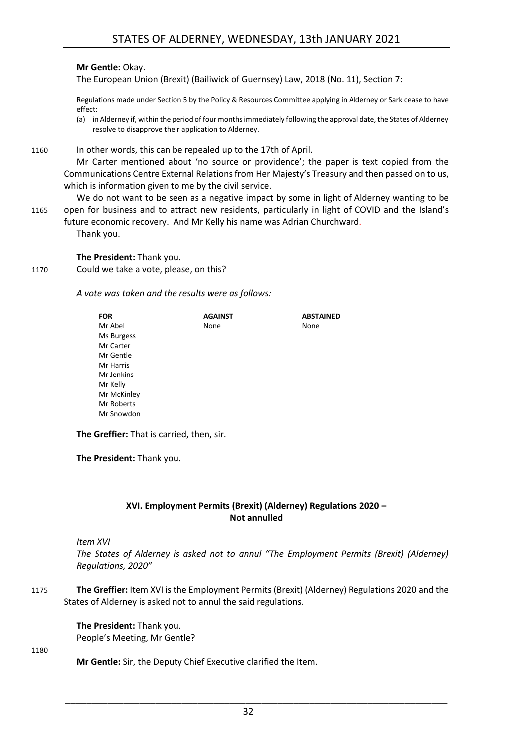### **Mr Gentle:** Okay.

The European Union (Brexit) (Bailiwick of Guernsey) Law, 2018 (No. 11), Section 7:

Regulations made under Section 5 by the Policy & Resources Committee applying in Alderney or Sark cease to have effect:

(a) in Alderney if, within the period of four months immediately following the approval date, the States of Alderney resolve to disapprove their application to Alderney.

1160 In other words, this can be repealed up to the 17th of April.

Mr Carter mentioned about 'no source or providence'; the paper is text copied from the Communications Centre External Relations from Her Majesty's Treasury and then passed on to us, which is information given to me by the civil service.

We do not want to be seen as a negative impact by some in light of Alderney wanting to be 1165 open for business and to attract new residents, particularly in light of COVID and the Island's future economic recovery. And Mr Kelly his name was Adrian Churchward.

Thank you.

**The President:** Thank you.

1170 Could we take a vote, please, on this?

*A vote was taken and the results were as follows:*

| <b>FOR</b>  | <b>AGAINST</b> | <b>ABSTAINED</b> |
|-------------|----------------|------------------|
| Mr Abel     | None           | None             |
| Ms Burgess  |                |                  |
| Mr Carter   |                |                  |
| Mr Gentle   |                |                  |
| Mr Harris   |                |                  |
| Mr Jenkins  |                |                  |
| Mr Kelly    |                |                  |
| Mr McKinley |                |                  |
| Mr Roberts  |                |                  |
| Mr Snowdon  |                |                  |
|             |                |                  |

**The Greffier:** That is carried, then, sir.

**The President:** Thank you.

## **XVI. Employment Permits (Brexit) (Alderney) Regulations 2020 – Not annulled**

<span id="page-31-0"></span>*Item XVI*

*The States of Alderney is asked not to annul "The Employment Permits (Brexit) (Alderney) Regulations, 2020"*

1175 **The Greffier:** Item XVI is the Employment Permits (Brexit) (Alderney) Regulations 2020 and the States of Alderney is asked not to annul the said regulations.

> **The President:** Thank you. People's Meeting, Mr Gentle?

1180

**Mr Gentle:** Sir, the Deputy Chief Executive clarified the Item.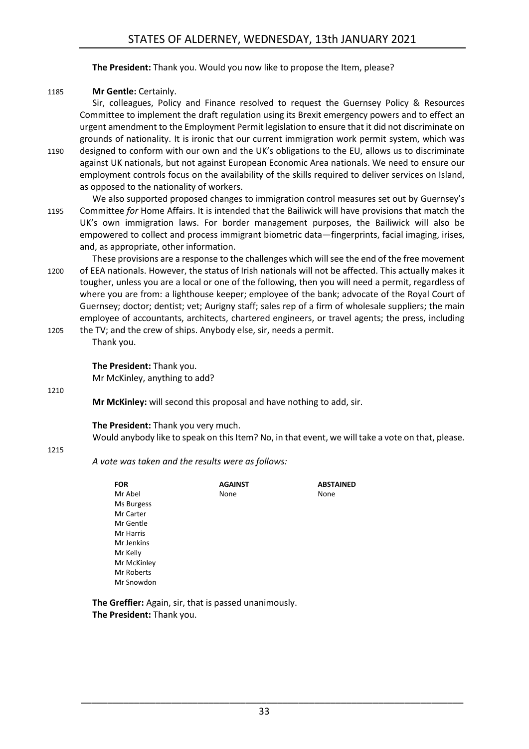**The President:** Thank you. Would you now like to propose the Item, please?

## 1185 **Mr Gentle: Certainly.**

Sir, colleagues, Policy and Finance resolved to request the Guernsey Policy & Resources Committee to implement the draft regulation using its Brexit emergency powers and to effect an urgent amendment to the Employment Permit legislation to ensure that it did not discriminate on grounds of nationality. It is ironic that our current immigration work permit system, which was

- 1190 designed to conform with our own and the UK's obligations to the EU, allows us to discriminate against UK nationals, but not against European Economic Area nationals. We need to ensure our employment controls focus on the availability of the skills required to deliver services on Island, as opposed to the nationality of workers.
- We also supported proposed changes to immigration control measures set out by Guernsey's 1195 Committee *for* Home Affairs. It is intended that the Bailiwick will have provisions that match the UK's own immigration laws. For border management purposes, the Bailiwick will also be empowered to collect and process immigrant biometric data—fingerprints, facial imaging, irises, and, as appropriate, other information.

These provisions are a response to the challenges which will see the end of the free movement 1200 of EEA nationals. However, the status of Irish nationals will not be affected. This actually makes it tougher, unless you are a local or one of the following, then you will need a permit, regardless of where you are from: a lighthouse keeper; employee of the bank; advocate of the Royal Court of Guernsey; doctor; dentist; vet; Aurigny staff; sales rep of a firm of wholesale suppliers; the main employee of accountants, architects, chartered engineers, or travel agents; the press, including 1205 the TV; and the crew of ships. Anybody else, sir, needs a permit.

Thank you.

**The President:** Thank you. Mr McKinley, anything to add?

1210

**Mr McKinley:** will second this proposal and have nothing to add, sir.

**The President:** Thank you very much.

Would anybody like to speak on this Item? No, in that event, we will take a vote on that, please.

#### 1215

*A vote was taken and the results were as follows:*

| <b>FOR</b>  | <b>AGAINST</b> | <b>ABSTAINED</b> |
|-------------|----------------|------------------|
| Mr Abel     | None           | None             |
| Ms Burgess  |                |                  |
| Mr Carter   |                |                  |
| Mr Gentle   |                |                  |
| Mr Harris   |                |                  |
| Mr Jenkins  |                |                  |
| Mr Kelly    |                |                  |
| Mr McKinley |                |                  |
| Mr Roberts  |                |                  |
| Mr Snowdon  |                |                  |
|             |                |                  |

**The Greffier:** Again, sir, that is passed unanimously. **The President:** Thank you.